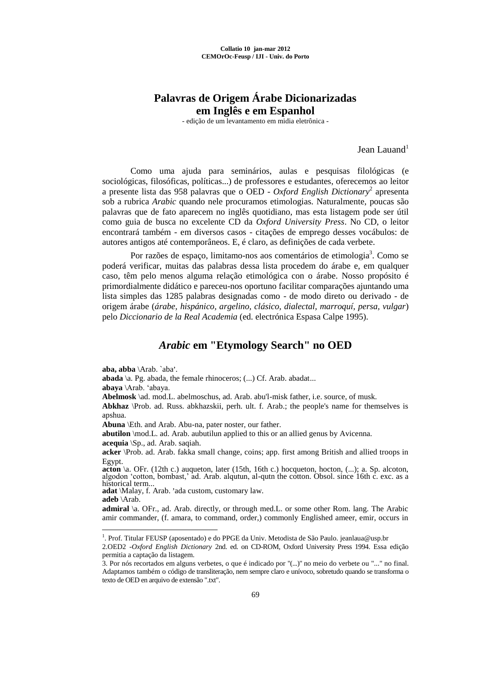## **Palavras de Origem Árabe Dicionarizadas em Inglês e em Espanhol**

- edição de um levantamento em midia eletrônica -

Jean Lauand<sup>1</sup>

Como uma ajuda para seminários, aulas e pesquisas filológicas (e sociológicas, filosóficas, políticas...) de professores e estudantes, oferecemos ao leitor a presente lista das 958 palavras que o OED - *Oxford English Dictionary*<sup>2</sup> apresenta sob a rubrica *Arabic* quando nele procuramos etimologias. Naturalmente, poucas são palavras que de fato aparecem no inglês quotidiano, mas esta listagem pode ser útil como guia de busca no excelente CD da *Oxford University Press*. No CD, o leitor encontrará também - em diversos casos - citações de emprego desses vocábulos: de autores antigos até contemporâneos. E, é claro, as definições de cada verbete.

Por razões de espaço, limitamo-nos aos comentários de etimologia<sup>3</sup>. Como se poderá verificar, muitas das palabras dessa lista procedem do árabe e, em qualquer caso, têm pelo menos alguma relação etimológica con o árabe. Nosso propósito é primordialmente didático e pareceu-nos oportuno facilitar comparações ajuntando uma lista simples das 1285 palabras designadas como - de modo direto ou derivado - de origem árabe (*árabe, hispánico, argelino, clásico, dialectal, marroquí, persa, vulgar*) pelo *Diccionario de la Real Academia* (ed. electrónica Espasa Calpe 1995).

## *Arabic* **em "Etymology Search" no OED**

aba, abba \Arab. `aba'.

**abada** \a. Pg. abada, the female rhinoceros; (...) Cf. Arab. abadat...

**abaya** \Arab. 'abaya.

<u>.</u>

**Abelmosk** \ad. mod.L. abelmoschus, ad. Arab. abu'l-misk father, i.e. source, of musk.

**Abkhaz** \Prob. ad. Russ. abkhazskii, perh. ult. f. Arab.; the people's name for themselves is apshua.

**Abuna** \Eth. and Arab. Abu-na, pater noster, our father.

**abutilon** \mod.L. ad. Arab. aubutilun applied to this or an allied genus by Avicenna.

**acequia** \Sp., ad. Arab. saqiah.

**acker** \Prob. ad. Arab. fakka small change, coins; app. first among British and allied troops in Egypt.

**acton** \a. OFr. (12th c.) auqueton, later (15th, 16th c.) hocqueton, hocton, (...); a. Sp. alcoton, algodon 'cotton, bombast,' ad. Arab. alqutun, al-qutn the cotton. Obsol. since 16th c. exc. as a historical term.

mstorical term...<br>**adat** \Malay, f. Arab. 'ada custom, customary law. **adeb** \Arab.

**admiral** \a. OFr., ad. Arab. directly, or through med.L. or some other Rom. lang. The Arabic amir commander, (f. amara, to command, order,) commonly Englished ameer, emir, occurs in

<sup>&</sup>lt;sup>1</sup>. Prof. Titular FEUSP (aposentado) e do PPGE da Univ. Metodista de São Paulo. jeanlaua@usp.br

<sup>2.</sup>OED2 -*Oxford English Dictionary* 2nd. ed. on CD-ROM, Oxford University Press 1994. Essa edição permitia a captação da listagem.

<sup>3.</sup> Por nós recortados em alguns verbetes, o que é indicado por "(...)" no meio do verbete ou "..." no final. Adaptamos também o código de transliteração, nem sempre claro e unívoco, sobretudo quando se transforma o texto de OED en arquivo de extensão ".txt".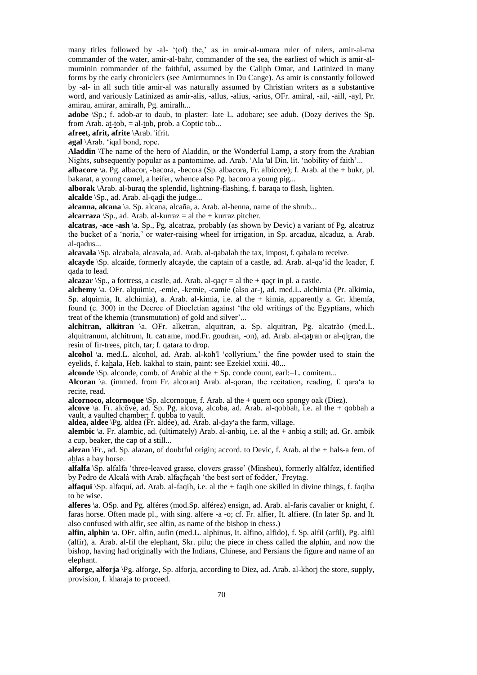many titles followed by -al- '(of) the,' as in amir-al-umara ruler of rulers, amir-al-ma commander of the water, amir-al-bahr, commander of the sea, the earliest of which is amir-almuminin commander of the faithful, assumed by the Caliph Omar, and Latinized in many forms by the early chroniclers (see Amirmumnes in Du Cange). As amir is constantly followed by -al- in all such title amir-al was naturally assumed by Christian writers as a substantive word, and variously Latinized as amir-alis, -allus, -alius, -arius, OFr. amiral, -ail, -aill, -ayl, Pr. amirau, amirar, amiralh, Pg. amiralh...

**adobe** \Sp.; f. adob-ar to daub, to plaster:–late L. adobare; see adub. (Dozy derives the Sp. from Arab. at-tob,  $=$  al-tob, prob. a Coptic tob...

**afreet, afrit, afrite** \Arab. 'ifrit.

**agal** \Arab. 'iqal bond, rope.

**Aladdin** \The name of the hero of Aladdin, or the Wonderful Lamp, a story from the Arabian Nights, subsequently popular as a pantomime, ad. Arab. 'Ala 'al Din, lit. 'nobility of faith'...

**albacore** \a. Pg. albacor, -bacora, -becora (Sp. albacora, Fr. albicore); f. Arab. al the + bukr, pl. bakarat, a young camel, a heifer, whence also Pg. bacoro a young pig...

**alborak** \Arab. al-buraq the splendid, lightning-flashing, f. baraqa to flash, lighten.

**alcalde** \Sp., ad. Arab. al-qadi the judge...

**alcanna, alcana** \a. Sp. alcana, alcaña, a. Arab. al-henna, name of the shrub...

**alcarraza**  $\text{Sp.},$  ad. Arab. al-kurraz = al the + kurraz pitcher.

**alcatras, -ace -ash** \a. Sp., Pg. alcatraz, probably (as shown by Devic) a variant of Pg. alcatruz the bucket of a 'noria,' or water-raising wheel for irrigation, in Sp. arcaduz, alcaduz, a. Arab. al-qadus...

**alcavala** \Sp. alcabala, alcavala, ad. Arab. al-qabalah the tax, impost, f. qabala to receive.

**alcayde** \Sp. alcaide, formerly alcayde, the captain of a castle, ad. Arab. al-qa'id the leader, f. qada to lead.

**alcazar**  $\$  Sp., a fortress, a castle, ad. Arab. al-qaçr = al the + qaçr in pl. a castle.

**alchemy** \a. OFr. alquimie, -emie, -kemie, -camie (also ar-), ad. med.L. alchimia (Pr. alkimia, Sp. alquimia, It. alchimia), a. Arab. al-kimia, i.e. al the + kimia, apparently a. Gr. khemía, found (c. 300) in the Decree of Diocletian against 'the old writings of the Egyptians, which treat of the khemía (transmutation) of gold and silver'...

**alchitran, alkitran** \a. OFr. alketran, alquitran, a. Sp. alquitran, Pg. alcatrão (med.L. alquitranum, alchitrum, It. catrame, mod.Fr. goudran, -on), ad. Arab. al-qatran or al-qitran, the resin of fir-trees, pitch, tar; f. qatara to drop.

**alcohol** \a. med.L. alcohol, ad. Arab. al-koh'l 'collyrium,' the fine powder used to stain the eyelids, f. kahala, Heb. kakhal to stain, paint: see Ezekiel xxiii. 40...

**alconde** \Sp. alconde, comb. of Arabic al the + Sp. conde count, earl:–L. comitem...

**Alcoran** \a. (immed. from Fr. alcoran) Arab. al-qoran, the recitation, reading, f. qara'a to recite, read.

**alcornoco, alcornoque** \Sp. alcornoque, f. Arab. al the + quern oco spongy oak (Diez).

**alcove** \a. Fr. alcôve, ad. Sp. Pg. alcova, alcoba, ad. Arab. al-qobbah, i.e. al the + qobbah a vault, a vaulted chamber; f. qubba to vault.

vaun, a vauned challiber; i. qubba to vaun.<br>**aldea, aldee** \Pg. aldea (Fr. aldée), ad. Arab. al-<u>d</u>ay'a the farm, village.

**alembic** \a. Fr. alambic, ad. (ultimately) Arab. al-anbiq, i.e. al the + anbiq a still; ad. Gr. ambik a cup, beaker, the cap of a still...

**alezan** \Fr., ad. Sp. alazan, of doubtful origin; accord. to Devic, f. Arab. al the + hals-a fem. of ahlas a bay horse.

**alfalfa** \Sp. alfalfa 'three-leaved grasse, clovers grasse' (Minsheu), formerly alfalfez, identified by Pedro de Alcalá with Arab. alfaçfaçah 'the best sort of fodder,' Freytag.

**alfaqui** \Sp. alfaquí, ad. Arab. al-faqih, i.e. al the + faqih one skilled in divine things, f. faqiha to be wise.

**alferes** \a. OSp. and Pg. alféres (mod.Sp. alférez) ensign, ad. Arab. al-faris cavalier or knight, f. faras horse. Often made pl., with sing. alfere -a -o; cf. Fr. alfier, It. alfiere. (In later Sp. and It. also confused with alfir, see alfin, as name of the bishop in chess.)

**alfin, alphin** \a. OFr. alfin, aufin (med.L. alphinus, It. alfino, alfido), f. Sp. alfil (arfil), Pg. alfil (alfir), a. Arab. al-fil the elephant, Skr. pilu; the piece in chess called the alphin, and now the bishop, having had originally with the Indians, Chinese, and Persians the figure and name of an elephant.

**alforge, alforja** \Pg. alforge, Sp. alforja, according to Diez, ad. Arab. al-khorj the store, supply, provision, f. kharaja to proceed.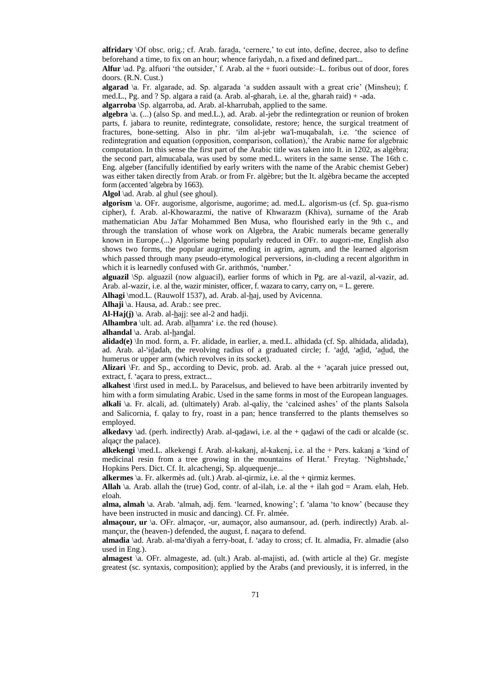**alfridary** \Of obsc. orig.; cf. Arab. farada, 'cernere,' to cut into, define, decree, also to define beforehand a time, to fix on an hour; whence fariydah, n. a fixed and defined part...

**Alfur** \ad. Pg. alfuori 'the outsider,' f. Arab. al the + fuori outside:–L. foribus out of door, fores doors. (R.N. Cust.)

**algarad** \a. Fr. algarade, ad. Sp. algarada 'a sudden assault with a great crie' (Minsheu); f. med.L., Pg. and ? Sp. algara a raid (a. Arab. al-gharah, i.e. al the, gharah raid) + -ada.

**algarroba** \Sp. algarroba, ad. Arab. al-kharrubah, applied to the same.

**algebra** \a. (...) (also Sp. and med.L.), ad. Arab. al-jebr the redintegration or reunion of broken parts, f. jabara to reunite, redintegrate, consolidate, restore; hence, the surgical treatment of parts, i. Jacana to realine, realinegrate, consolidate, restore, hence, the surgical treatment of fractures, bone-setting. Also in phr. 'ilm al-jebr wa'l-muqabalah, i.e. 'the science of redintegration and equation (opposition, comparison, collation),' the Arabic name for algebraic computation. In this sense the first part of the Arabic title was taken into It. in 1202, as algèbra; the second part, almucabala, was used by some med.L. writers in the same sense. The 16th c. Eng. algeber (fancifully identified by early writers with the name of the Arabic chemist Geber) was either taken directly from Arab. or from Fr. algèbre; but the It. algèbra became the accepted form (accented 'algebra by 1663).

Algol \ad. Arab. al ghul (see ghoul).

**algorism** \a. OFr. augorisme, algorisme, augorime; ad. med.L. algorism-us (cf. Sp. gua-rismo cipher), f. Arab. al-Khowarazmi, the native of Khwarazm (Khiva), surname of the Arab mathematician Abu Ja'far Mohammed Ben Musa, who flourished early in the 9th c., and through the translation of whose work on Algebra, the Arabic numerals became generally known in Europe.(...) Algorisme being popularly reduced in OFr. to augori-me, English also shows two forms, the popular augrime, ending in agrim, agrum, and the learned algorism which passed through many pseudo-etymological perversions, in-cluding a recent algorithm in which it is learnedly confused with Gr. arithmós, 'number.'

**alguazil** \Sp. alguazil (now alguacil), earlier forms of which in Pg. are al-vazil, al-vazir, ad. Arab. al-wazir, i.e. al the, wazir minister, officer, f. wazara to carry, carry on, = L. gerere.

**Alhagi** \mod.L. (Rauwolf 1537), ad. Arab. al-haj, used by Avicenna.

**Alhaji** \a. Hausa, ad. Arab.: see prec.

**Al-Haj(j)** \a. Arab. al- $\underline{h}$ ajj: see al-2 and hadji.

**Alhambra** \ult. ad. Arab. alhamra' i.e. the red (house).

**alhandal** \a. Arab. al-handal.

**alidad(e)** \In mod. form, a. Fr. alidade, in earlier, a. med.L. alhidada (cf. Sp. alhidada, alidada), ad. Arab. al-'idadah, the revolving radius of a graduated circle; f. 'add, 'adid, 'adud, the humerus or upper arm (which revolves in its socket).

Alizari \Fr. and Sp., according to Devic, prob. ad. Arab. al the + 'açarah juice pressed out,  $\frac{1}{2}$  and  $\frac{1}{2}$ . according to extract...

**alkahest** \first used in med.L. by Paracelsus, and believed to have been arbitrarily invented by him with a form simulating Arabic. Used in the same forms in most of the European languages. **alkali** \a. Fr. alcali, ad. (ultimately) Arab. al-qaliy, the 'calcined ashes' of the plants Salsola and Salicornia, f. qalay to fry, roast in a pan; hence transferred to the plants themselves so employed.

**alkedavy**  $\hat{a}$ . (perh. indirectly) Arab. al-qadawi, i.e. al the + qadawi of the cadi or alcalde (sc. alqaçr the palace).

**alkekengi** \med.L. alkekengi f. Arab. al-kakanj, al-kakenj, i.e. al the + Pers. kakanj a 'kind of medicinal resin from a tree growing in the mountains of Herat.' Freytag. 'Nightshade,' Hopkins Pers. Dict. Cf. It. alcachengi, Sp. alquequenje...

**alkermes** \a. Fr. alkermès ad. (ult.) Arab. al-qirmiz, i.e. al the + qirmiz kermes.

**Allah**  $\lambda$ a. Arab. allah the (true) God, contr. of al-ilah, i.e. al the + ilah god = Aram. elah, Heb. eloah.

alma, almah \a. Arab. 'almah, adj. fem. 'learned, knowing'; f. 'alama 'to know' (because they have been instructed in music and dancing). Cf. Fr. almée.

**almaçour, ur** \a. OFr. almaçor, -ur, aumaçor, also aumansour, ad. (perh. indirectly) Arab. almançur, the (heaven-) defended, the august, f. naçara to defend.

almadia \ad. Arab. al-ma'diyah a ferry-boat, f. 'aday to cross; cf. It. almadia, Fr. almadie (also used in Eng.).

**almagest** \a. OFr. almageste, ad. (ult.) Arab. al-majisti, ad. (with article al the) Gr. megíste greatest (sc. syntaxis, composition); applied by the Arabs (and previously, it is inferred, in the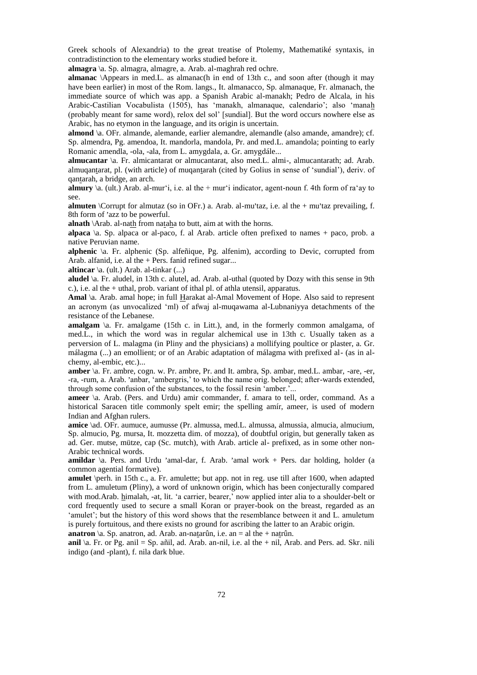Greek schools of Alexandria) to the great treatise of Ptolemy, Mathematiké syntaxis, in contradistinction to the elementary works studied before it.

**almagra** \a. Sp. almagra, almagre, a. Arab. al-maghrah red ochre.

**almanac** \Appears in med.L. as almanac(h in end of 13th c., and soon after (though it may have been earlier) in most of the Rom. langs., It. almanacco, Sp. almanaque, Fr. almanach, the immediate source of which was app. a Spanish Arabic al-manakh; Pedro de Alcala, in his Arabic-Castilian Vocabulista (1505), has 'manakh, almanaque, calendario'; also 'manah (probably meant for same word), relox del sol' [sundial]. But the word occurs nowhere else as Arabic, has no etymon in the language, and its origin is uncertain.

**almond**  $\alpha$ . OFr. almande, alemande, earlier alemandre, alemandle (also amande, amandre); cf. Sp. almendra, Pg. amendoa, It. mandorla, mandola, Pr. and med.L. amandola; pointing to early Romanic amendla, -ola, -ala, from L. amygdala, a. Gr. amygdále...

**almucantar** \a. Fr. almicantarat or almucantarat, also med.L. almi-, almucantarath; ad. Arab. almuqantarat, pl. (with article) of muqantarah (cited by Golius in sense of 'sundial'), deriv. of qantarah, a bridge, an arch.

**almury** \a. (ult.) Arab. al-mur'i, i.e. al the + mur'i indicator, agent-noun f. 4th form of ra'ay to see.

almuten \Corrupt for almutaz (so in OFr.) a. Arab. al-mu'taz, i.e. al the + mu'taz prevailing, f. annum corrupt for annuments

alnath \Arab. al-nath from nataha to butt, aim at with the horns.

**alpaca** \a. Sp. alpaca or al-paco, f. al Arab. article often prefixed to names + paco, prob. a native Peruvian name.

**alphenic** \a. Fr. alphenic (Sp. alfeñique, Pg. alfenim), according to Devic, corrupted from Arab. alfanid, i.e. al the + Pers. fanid refined sugar...

**altincar** \a. (ult.) Arab. al-tinkar (...)

**aludel** \a. Fr. aludel, in 13th c. alutel, ad. Arab. al-uthal (quoted by Dozy with this sense in 9th c.), i.e. al the + uthal, prob. variant of ithal pl. of athla utensil, apparatus.

**Amal** \a. Arab. amal hope; in full Harakat al-Amal Movement of Hope. Also said to represent an acronym (as unvocalized 'ml) of afwaj al-muqawama al-Lubnaniyya detachments of the resistance of the Lebanese.

**amalgam** \a. Fr. amalgame (15th c. in Litt.), and, in the formerly common amalgama, of med.L., in which the word was in regular alchemical use in 13th c. Usually taken as a perversion of L. malagma (in Pliny and the physicians) a mollifying poultice or plaster, a. Gr. málagma (...) an emollient; or of an Arabic adaptation of málagma with prefixed al- (as in alchemy, al-embic, etc.)...

**amber** \a. Fr. ambre, cogn. w. Pr. ambre, Pr. and It. ambra, Sp. ambar, med.L. ambar, -are, -er, extract (a. 11. and c, edg., w. 11. and c, 11. and 1. and a, sp. and a, mea. L. and a, ac, et,  $-ra$ ,  $-ran$ , a. Arab. 'anbar, 'ambergris,' to which the name orig. belonged; after-wards extended, through some confusion of the substances, to the fossil resin 'amber.'...

**ameer** \a. Arab. (Pers. and Urdu) amir commander, f. amara to tell, order, command. As a historical Saracen title commonly spelt emir; the spelling amír, ameer, is used of modern Indian and Afghan rulers.

**amice** \ad. OFr. aumuce, aumusse (Pr. almussa, med.L. almussa, almussia, almucia, almucium, Sp. almucio, Pg. mursa, It. mozzetta dim. of mozza), of doubtful origin, but generally taken as ad. Ger. mutse, mütze, cap (Sc. mutch), with Arab. article al- prefixed, as in some other non-Arabic technical words.

amildar \a. Pers. and Urdu 'amal-dar, f. Arab. 'amal work + Pers. dar holding, holder (a common agential formative).

**amulet** \perh. in 15th c., a. Fr. amulette; but app. not in reg. use till after 1600, when adapted from L. amuletum (Pliny), a word of unknown origin, which has been conjecturally compared with mod.Arab. himalah, -at, lit. 'a carrier, bearer,' now applied inter alia to a shoulder-belt or cord frequently used to secure a small Koran or prayer-book on the breast, regarded as an 'amulet'; but the history of this word shows that the resemblance between it and L. amuletum is purely fortuitous, and there exists no ground for ascribing the latter to an Arabic origin.

**anatron**  $\langle a, Sp.$  anatron, ad. Arab. an-natarûn, i.e. an = al the + natrûn.

**anil** \a. Fr. or Pg. anil = Sp. añil, ad. Arab. an-nil, i.e. al the + nil, Arab. and Pers. ad. Skr. nili indigo (and -plant), f. nila dark blue.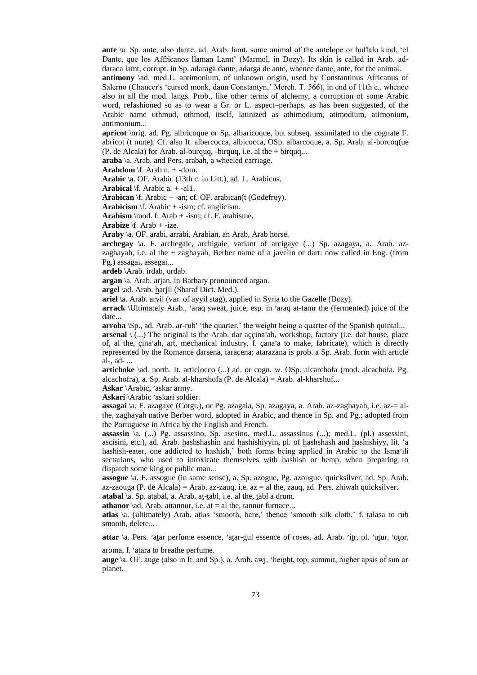**ante** \a. Sp. ante, also dante, ad. Arab. lamt, some animal of the antelope or buffalo kind, 'el Dante, que los Affricanos llaman Lamt' (Marmol, in Dozy). Its skin is called in Arab. addaraca lamt, corrupt. in Sp. adaraga dante, adarga de ante, whence dante, ante, for the animal. **antimony**  $\delta$ d. med.L. antimonium, of unknown origin, used by Constantinus Africanus of

Salerno (Chaucer's 'cursed monk, daun Constantyn,' Merch. T. 566), in end of 11th c., whence also in all the mod. langs. Prob., like other terms of alchemy, a corruption of some Arabic word, refashioned so as to wear a Gr. or L. aspect–perhaps, as has been suggested, of the Arabic name uthmud, othmod, itself, latinized as athimodium, atimodium, atimonium, antimonium...

**apricot** \orig. ad. Pg. albricoque or Sp. albaricoque, but subseq. assimilated to the cognate F. abricot (t mute). Cf. also It. albercocca, albicocca, OSp. albarcoque, a. Sp. Arab. al-borcoq(ue (P. de Alcala) for Arab. al-burquq, -birquq, i.e. al the + birquq...

**araba** \a. Arab. and Pers. arabah, a wheeled carriage.

**Arabdom** \f. Arab n. + -dom.

**Arabic** \a. OF. Arabic (13th c. in Litt.), ad. L. Arabicus.

**Arabical** \f. Arabic a. + -al1.

**Arabican** \f. Arabic + -an; cf. OF. arabican(t (Godefroy).

**Arabicism** \f. Arabic + -ism; cf. anglicism.

**Arabism**  $\mod$  f. Arab + -ism; cf. F. arabisme.

**Arabize** \f. Arab + -ize.

**Araby** \a. OF. arabi, arrabi, Arabian, an Arab, Arab horse.

**archegay** \a. F. archegaie, archigaie, variant of arcigaye (...) Sp. azagaya, a. Arab. azzaghayah, i.e. al the + zaghayah, Berber name of a javelin or dart: now called in Eng. (from Pg.) assagai, assegai...

**ardeb** \Arab. irdab, urdab.

**argan** \a. Arab. arjan, in Barbary pronounced argan.

**argel** \ad. Arab. harjil (Sharaf Dict. Med.).

**ariel** \a. Arab. aryil (var. of ayyil stag), applied in Syria to the Gazelle (Dozy).

arrack \Ultimately Arab., 'araq sweat, juice, esp. in 'araq at-tamr the (fermented) juice of the date...

arroba \Sp., ad. Arab. ar-rub' 'the quarter,' the weight being a quarter of the Spanish quintal...

 $\mathbf{a}$ **rsenal**  $\setminus$  (...) The original is the Arab. dar aççina'ah, workshop, factory (i.e. dar house, place ariseria (A...) The original is the Arab. dar aççina and workshop, factory (i.e. dar house, prace of, al the, çina'ah, art, mechanical industry, f. çana'a to make, fabricate), which is directly represented by the Romance darsena, taracena; atarazana is prob. a Sp. Arab. form with article al-, ad- ...

**artichoke** \ad. north. It. articiocco (...) ad. or cogn. w. OSp. alcarchofa (mod. alcachofa, Pg. alcachofra), a. Sp. Arab. al-kharshofa (P. de Alcala) = Arab. al-kharshuf...

**Askar** \Arabic, 'askar army.

Askari **\Arabic** 'askari soldier.

**assagai** \a. F. azagaye (Cotgr.), or Pg. azagaia, Sp. azagaya, a. Arab. az-zaghayah, i.e. az-= althe, zaghayah native Berber word, adopted in Arabic, and thence in Sp. and Pg.; adopted from the Portuguese in Africa by the English and French.

**assassin** \a. (...) Pg. assassino, Sp. asesino, med.L. assassinus (...); med.L. (pl.) assessini, ascisini, etc.), ad. Arab. hashshashin and hashishiyyin, pl. of hashshash and hashishiyy, lit. 'a  $\frac{\text{d}s}{\text{d}s}}$ , etc., and  $\frac{\text{d}s}{\text{d}s}}$  and  $\frac{\text{d}s}{\text{d}s}$  and  $\frac{\text{d}s}{\text{d}s}}$ ,  $\frac{\text{d}s}{\text{d}s}}$ ,  $\frac{\text{d}s}{\text{d}s}$ ,  $\frac{\text{d}s}{\text{d}s}}$ ,  $\frac{\text{d}s}{\text{d}s}}$ ,  $\frac{\text{d}s}{\text{d}s}}$ ,  $\frac{\text{d}s}{\text{d}s}}$ ,  $\frac{\text{d}s}{\text{d}s}}$ ,  $\frac{\text{d$ sectarians, who used to intoxicate themselves with hashish or hemp, when preparing to dispatch some king or public man...

**assogue** \a. F. assogue (in same sense), a. Sp. azogue, Pg. azougue, quicksilver, ad. Sp. Arab. az-zaouga (P. de Alcala) = Arab. az-zauq, i.e. az = al the, zauq, ad. Pers. zhiwah quicksilver.

**atabal** \a. Sp. atabal, a. Arab. at-tabl, i.e. al the, tabl a drum.

**athanor** \ad. Arab. attannur, i.e. at  $=$  al the, tannur furnace...

**atlas** \a. (ultimately) Arab. atlas 'smooth, bare,' thence 'smooth silk cloth,' f. talasa to rub smooth, delete...

attar \a. Pers. 'atar perfume essence, 'atar-gul essence of roses, ad. Arab. 'itr, pl. 'utur, 'otor,

aroma, f. 'atara to breathe perfume.

**auge** \a. OF. auge (also in It. and Sp.), a. Arab. awj, 'height, top, summit, higher apsis of sun or planet.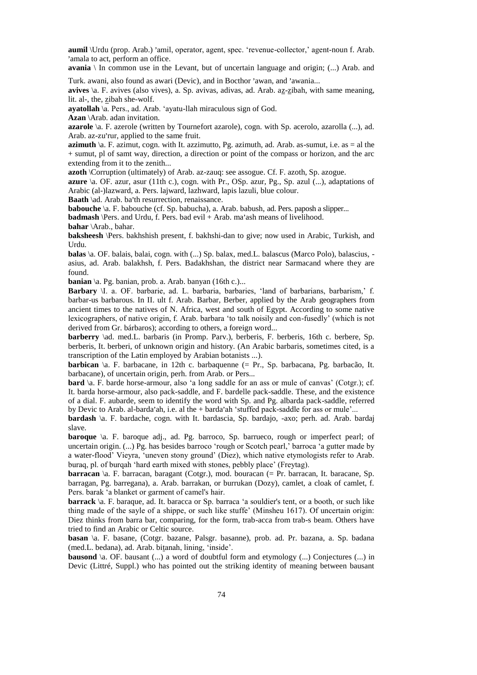aumil \Urdu (prop. Arab.) 'amil, operator, agent, spec. 'revenue-collector,' agent-noun f. Arab. amala to act, perform an office.

**avania** \ In common use in the Levant, but of uncertain language and origin; (...) Arab. and

Turk. awani, also found as awari (Devic), and in Bocthor 'awan, and 'awania...

avives \a. F. avives (also vives), a. Sp. avivas, adivas, ad. Arab. az-zibah, with same meaning, lit. al-, the, zibah she-wolf.

**ayatollah** \a. Pers., ad. Arab. 'ayatu-llah miraculous sign of God.

**Azan** \Arab. adan invitation.

**azarole** \a. F. azerole (written by Tournefort azarole), cogn. with Sp. acerolo, azarolla (...), ad.  $Arab.$  az-zu'rur, applied to the same fruit.

**azimuth**  $\lambda$ a. F. azimut, cogn. with It. azzimutto, Pg. azimuth, ad. Arab. as-sumut, i.e. as = al the + sumut, pl of samt way, direction, a direction or point of the compass or horizon, and the arc extending from it to the zenith...

**azoth** \Corruption (ultimately) of Arab. az-zauq: see assogue. Cf. F. azoth, Sp. azogue.

**azure** \a. OF. azur, asur (11th c.), cogn. with Pr., OSp. azur, Pg., Sp. azul (...), adaptations of Arabic (al-)lazward, a. Pers. lajward, lazhward, lapis lazuli, blue colour.

**Baath** \ad. Arab. ba'th resurrection, renaissance.

**babouche** \a. F. babouche (cf. Sp. babucha), a. Arab. babush, ad. Pers. paposh a slipper...

**babbache** (a. 1) babbache (cr. bp. babbacha), a. Thab. babash, ad. 1 ets. pappoin a **badmash** (Pers. and Urdu, f. Pers. bad evil + Arab. ma'ash means of livelihood.

**bahar** \Arab., bahar.

**baksheesh** \Pers. bakhshish present, f. bakhshi-dan to give; now used in Arabic, Turkish, and Urdu.

**balas** \a. OF. balais, balai, cogn. with (...) Sp. balax, med. L. balascus (Marco Polo), balascius, asius, ad. Arab. balakhsh, f. Pers. Badakhshan, the district near Sarmacand where they are found.

**banian** \a. Pg. banian, prob. a. Arab. banyan (16th c.)...

**Barbary** \I. a. OF. barbarie, ad. L. barbaria, barbaries, 'land of barbarians, barbarism,' f. barbar-us barbarous. In II. ult f. Arab. Barbar, Berber, applied by the Arab geographers from ancient times to the natives of N. Africa, west and south of Egypt. According to some native lexicographers, of native origin, f. Arab. barbara 'to talk noisily and con-fusedly' (which is not derived from Gr. bárbaros); according to others, a foreign word...

**barberry** \ad. med.L. barbaris (in Promp. Parv.), berberis, F. berberis, 16th c. berbere, Sp. berberis, It. berberi, of unknown origin and history. (An Arabic barbaris, sometimes cited, is a transcription of the Latin employed by Arabian botanists ...).

**barbican** \a. F. barbacane, in 12th c. barbaquenne (= Pr., Sp. barbacana, Pg. barbacão, It. barbacane), of uncertain origin, perh. from Arab. or Pers...

**bard** \a. F. barde horse-armour, also 'a long saddle for an ass or mule of canvas' (Cotgr.); cf. It. barda horse-armour, also pack-saddle, and F. bardelle pack-saddle. These, and the existence of a dial. F. aubarde, seem to identify the word with Sp. and Pg. albarda pack-saddle, referred by Devic to Arab. al-barda'ah, i.e. al the  $+$  barda'ah 'stuffed pack-saddle for ass or mule'...

**bardash** \a. F. bardache, cogn. with It. bardascia, Sp. bardajo, -axo; perh. ad. Arab. bardaj slave.

**baroque** \a. F. baroque adj., ad. Pg. barroco, Sp. barrueco, rough or imperfect pearl; of uncertain origin. (...) Pg. has besides barroco 'rough or Scotch pearl,' barroca 'a gutter made by a water-flood' Vieyra, 'uneven stony ground' (Diez), which native etymologists refer to Arab. buraq, pl. of burqah 'hard earth mixed with stones, pebbly place' (Freytag).

**barracan** \a. F. barracan, baragant (Cotgr.), mod. bouracan (= Pr. barracan, It. baracane, Sp. barragan, Pg. barregana), a. Arab. barrakan, or burrukan (Dozy), camlet, a cloak of camlet, f. Pers. barak 'a blanket or garment of camel's hair.

**barrack** \a. F. baraque, ad. It. baracca or Sp. barraca 'a souldier's tent, or a booth, or such like thing made of the sayle of a shippe, or such like stuffe' (Minsheu 1617). Of uncertain origin: Diez thinks from barra bar, comparing, for the form, trab-acca from trab-s beam. Others have tried to find an Arabic or Celtic source.

**basan** \a. F. basane, (Cotgr. bazane, Palsgr. basanne), prob. ad. Pr. bazana, a. Sp. badana (med.L. bedana), ad. Arab. bitanah, lining, 'inside'.

**bausond** \a. OF. bausant (...) a word of doubtful form and etymology (...) Conjectures (...) in Devic (Littré, Suppl.) who has pointed out the striking identity of meaning between bausant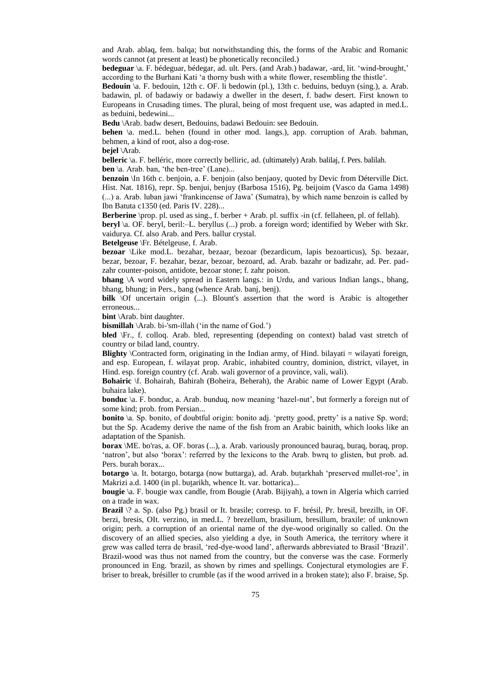and Arab. ablaq, fem. balqa; but notwithstanding this, the forms of the Arabic and Romanic words cannot (at present at least) be phonetically reconciled.)

**bedeguar** \a. F. bédeguar, bédegar, ad. ult. Pers. (and Arab.) badawar, -ard, lit. 'wind-brought,' according to the Burhani Kati 'a thorny bush with a white flower, resembling the thistle'.

Bedouin \a. F. bedouin, 12th c. OF. li bedowin (pl.), 13th c. beduins, beduyn (sing.), a. Arab. badawin, pl. of badawiy or badawiy a dweller in the desert, f. badw desert. First known to Europeans in Crusading times. The plural, being of most frequent use, was adapted in med.L. as beduini, bedewini...

**Bedu** \Arab. badw desert, Bedouins, badawi Bedouin: see Bedouin.

**behen** \a. med.L. behen (found in other mod. langs.), app. corruption of Arab. bahman, behmen, a kind of root, also a dog-rose.

**bejel** \Arab.

**belleric** \a. F. belléric, more correctly belliric, ad. (ultimately) Arab. balilaj, f. Pers. balilah. **ben** \a. Arab. ban, 'the ben-tree' (Lane)...

**benzoin** \In 16th c. benjoin, a. F. benjoin (also benjaoy, quoted by Devic from Déterville Dict. Hist. Nat. 1816), repr. Sp. benjui, benjuy (Barbosa 1516), Pg. beijoim (Vasco da Gama 1498) (...) a. Arab. luban jawi 'frankincense of Jawa' (Sumatra), by which name benzoin is called by Ibn Batuta c1350 (ed. Paris IV. 228)...

**Berberine** \prop. pl. used as sing., f. berber + Arab. pl. suffix -in (cf. fellaheen, pl. of fellah).

**beryl** \a. OF. beryl, beril:–L. beryllus (...) prob. a foreign word; identified by Weber with Skr. vaidurya. Cf. also Arab. and Pers. ballur crystal.

**Betelgeuse** \Fr. Bételgeuse, f. Arab.

**bezoar** \Like mod.L. bezahar, bezaar, bezoar (bezardicum, lapis bezoarticus), Sp. bezaar, bezar, bezoar, F. bezahar, bezar, bezoar, bezoard, ad. Arab. bazahr or badizahr, ad. Per. padzahr counter-poison, antidote, bezoar stone; f. zahr poison.

**bhang** \A word widely spread in Eastern langs.: in Urdu, and various Indian langs., bhang, bhang, bhung; in Pers., bang (whence Arab. banj, benj).

**bilk**  $\Omega$  uncertain origin (...). Blount's assertion that the word is Arabic is altogether erroneous...

**bint** \Arab. bint daughter.

**bismillah** \Arab. bi-'sm-illah ('in the name of God.')

**bled** \Fr., f. colloq. Arab. bled, representing (depending on context) balad vast stretch of country or bilad land, country.

**Blighty** *\Contracted form, originating in the Indian army, of Hind. bilayati = wilayati foreign,* and esp. European, f. wilayat prop. Arabic, inhabited country, dominion, district, vilayet, in Hind. esp. foreign country (cf. Arab. wali governor of a province, vali, wali).

**Bohairic** \f. Bohairah, Bahirah (Boheira, Beherah), the Arabic name of Lower Egypt (Arab. buhaira lake).

**bonduc** \a. F. bonduc, a. Arab. bunduq, now meaning 'hazel-nut', but formerly a foreign nut of some kind; prob. from Persian...

**bonito**  $\alpha$ . Sp. bonito, of doubtful origin: bonito adj. 'pretty good, pretty' is a native Sp. word; but the Sp. Academy derive the name of the fish from an Arabic bainith, which looks like an adaptation of the Spanish.

**borax** \ME. bo'ras, a. OF. boras (...), a. Arab. variously pronounced bauraq, buraq, boraq, prop. 'natron', but also 'borax': referred by the lexicons to the Arab. bwrq to glisten, but prob. ad. Pers. burah borax...

**botargo** \a. It. botargo, botarga (now buttarga), ad. Arab. butarkhah 'preserved mullet-roe', in Makrizi a.d. 1400 (in pl. butarikh, whence It. var. bottarica)...

**bougie** \a. F. bougie wax candle, from Bougie (Arab. Bijiyah), a town in Algeria which carried on a trade in wax.

**Brazil** \? a. Sp. (also Pg.) brasil or It. brasile; corresp. to F. brésil, Pr. bresil, brezilh, in OF. berzi, bresis, OIt. verzino, in med.L. ? brezellum, brasilium, bresillum, braxile: of unknown origin; perh. a corruption of an oriental name of the dye-wood originally so called. On the discovery of an allied species, also yielding a dye, in South America, the territory where it grew was called terra de brasil, 'red-dye-wood land', afterwards abbreviated to Brasil 'Brazil'. Brazil-wood was thus not named from the country, but the converse was the case. Formerly pronounced in Eng. 'brazil, as shown by rimes and spellings. Conjectural etymologies are F. briser to break, brésiller to crumble (as if the wood arrived in a broken state); also F. braise, Sp.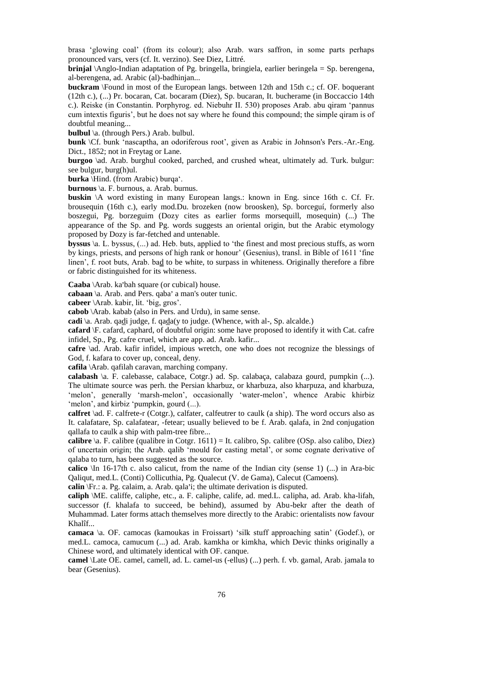brasa 'glowing coal' (from its colour); also Arab. wars saffron, in some parts perhaps pronounced vars, vers (cf. It. verzino). See Diez, Littré.

**brinjal** \Anglo-Indian adaptation of Pg. bringella, bringiela, earlier beringela = Sp. berengena, al-berengena, ad. Arabic (al)-badhinjan...

**buckram** \Found in most of the European langs. between 12th and 15th c.; cf. OF. boquerant (12th c.), (...) Pr. bocaran, Cat. bocaram (Diez), Sp. bucaran, It. bucherame (in Boccaccio 14th c.). Reiske (in Constantin. Porphyrog. ed. Niebuhr II. 530) proposes Arab. abu qiram 'pannus cum intextis figuris', but he does not say where he found this compound; the simple qiram is of doubtful meaning...

**bulbul** \a. (through Pers.) Arab. bulbul.

**bunk** \Cf. bunk 'nascaptha, an odoriferous root', given as Arabic in Johnson's Pers.-Ar.-Eng. Dict., 1852; not in Freytag or Lane.

**burgoo** \ad. Arab. burghul cooked, parched, and crushed wheat, ultimately ad. Turk. bulgur: see bulgur, burg(h)ul.

**burka** \Hind. (from Arabic) burqa'.

**burnous** \a. F. burnous, a. Arab. burnus.

**buskin** \A word existing in many European langs.: known in Eng. since 16th c. Cf. Fr. brousequin (16th c.), early mod.Du. brozeken (now broosken), Sp. borceguí, formerly also boszegui, Pg. borzeguim (Dozy cites as earlier forms morsequill, mosequin) (...) The appearance of the Sp. and Pg. words suggests an oriental origin, but the Arabic etymology proposed by Dozy is far-fetched and untenable.

**byssus** \a. L. byssus, (...) ad. Heb. buts, applied to 'the finest and most precious stuffs, as worn by kings, priests, and persons of high rank or honour' (Gesenius), transl. in Bible of 1611 'fine linen', f. root buts, Arab. bad to be white, to surpass in whiteness. Originally therefore a fibre or fabric distinguished for its whiteness.

Caaba \Arab. ka'bah square (or cubical) house.

cabaan \a. Arab. and Pers. qaba' a man's outer tunic.

**cabeer** \Arab. kabir, lit. 'big, gros'.

**cabob** \Arab. kabab (also in Pers. and Urdu), in same sense.

**cadi** \a. Arab. qadi judge, f. qada(y to judge. (Whence, with al-, Sp. alcalde.)

**cafard** \F. cafard, caphard, of doubtful origin: some have proposed to identify it with Cat. cafre infidel, Sp., Pg. cafre cruel, which are app. ad. Arab. kafir...

**cafre** \ad. Arab. kafir infidel, impious wretch, one who does not recognize the blessings of God, f. kafara to cover up, conceal, deny.

**cafila** \Arab. qafilah caravan, marching company.

**calabash** \a. F. calebasse, calabace, Cotgr.) ad. Sp. calabaça, calabaza gourd, pumpkin (...). The ultimate source was perh. the Persian kharbuz, or kharbuza, also kharpuza, and kharbuza, 'melon', generally 'marsh-melon', occasionally 'water-melon', whence Arabic khirbiz 'melon', and kirbiz 'pumpkin, gourd (...).

**calfret** \ad. F. calfrete-r (Cotgr.), calfater, calfeutrer to caulk (a ship). The word occurs also as It. calafatare, Sp. calafatear, -fetear; usually believed to be f. Arab. qalafa, in 2nd conjugation qallafa to caulk a ship with palm-tree fibre...

**calibre**  $\langle a, F, c \rangle$  calibre (qualibre in Cotgr. 1611) = It. calibro, Sp. calibre (OSp. also calibo, Diez) of uncertain origin; the Arab. qalib 'mould for casting metal', or some cognate derivative of qalaba to turn, has been suggested as the source.

**calico** \In 16-17th c. also calicut, from the name of the Indian city (sense 1) (...) in Ara-bic Qaliqut, med.L. (Conti) Collicuthia, Pg. Qualecut (V. de Gama), Calecut (Camoens).

**calin** \Fr.: a. Pg. calaim, a. Arab. qala, i; the ultimate derivation is disputed.

**caliph** \ME. califfe, caliphe, etc., a. F. caliphe, calife, ad. med.L. calipha, ad. Arab. kha-lifah, successor (f. khalafa to succeed, be behind), assumed by Abu-bekr after the death of Muhammad. Later forms attach themselves more directly to the Arabic: orientalists now favour Khalîf...

**camaca** \a. OF. camocas (kamoukas in Froissart) 'silk stuff approaching satin' (Godef.), or med.L. camoca, camucum (...) ad. Arab. kamkha or kimkha, which Devic thinks originally a Chinese word, and ultimately identical with OF. canque.

**camel** \Late OE. camel, camell, ad. L. camel-us (-ellus) (...) perh. f. vb. gamal, Arab. jamala to bear (Gesenius).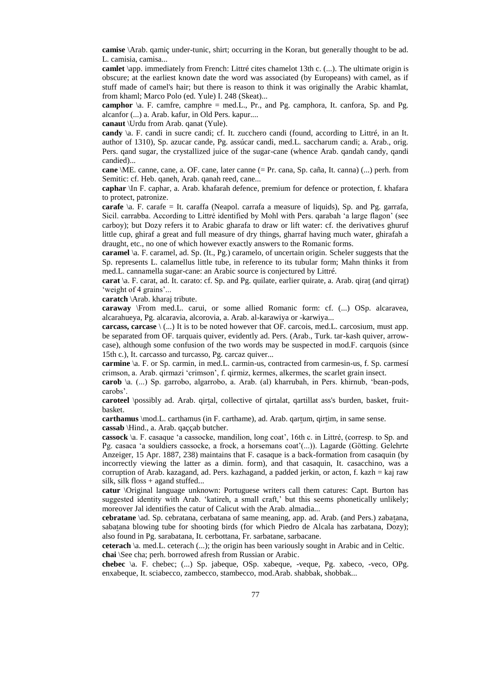**camise** \Arab. qamiç under-tunic, shirt; occurring in the Koran, but generally thought to be ad. L. camisia, camisa...

**camlet** \app. immediately from French: Littré cites chamelot 13th c. (...). The ultimate origin is obscure; at the earliest known date the word was associated (by Europeans) with camel, as if stuff made of camel's hair; but there is reason to think it was originally the Arabic khamlat, from khaml; Marco Polo (ed. Yule) I. 248 (Skeat)...

**camphor**  $\alpha$ . F. camfre, camphre = med.L., Pr., and Pg. camphora, It. canfora, Sp. and Pg. alcanfor (...) a. Arab. kafur, in Old Pers. kapur....

**canaut** \Urdu from Arab. qanat (Yule).

**candy** \a. F. candi in sucre candi; cf. It. zucchero candi (found, according to Littré, in an It. author of 1310), Sp. azucar cande, Pg. assúcar candi, med.L. saccharum candi; a. Arab., orig. Pers. qand sugar, the crystallized juice of the sugar-cane (whence Arab. qandah candy, qandi candied)...

**cane** \ME. canne, cane, a. OF. cane, later canne (= Pr. cana, Sp. caña, It. canna) (...) perh. from Semitic: cf. Heb. qaneh, Arab. qanah reed, cane...

**caphar** \In F. caphar, a. Arab. khafarah defence, premium for defence or protection, f. khafara to protect, patronize.

**carafe** \a. F. carafe = It. caraffa (Neapol. carrafa a measure of liquids), Sp. and Pg. garrafa, Sicil. carrabba. According to Littré identified by Mohl with Pers. qarabah 'a large flagon' (see carboy); but Dozy refers it to Arabic gharafa to draw or lift water: cf. the derivatives ghuruf little cup, ghiraf a great and full measure of dry things, gharraf having much water, ghirafah a draught, etc., no one of which however exactly answers to the Romanic forms.

**caramel** \a. F. caramel, ad. Sp. (It., Pg.) caramelo, of uncertain origin. Scheler suggests that the Sp. represents L. calamellus little tube, in reference to its tubular form; Mahn thinks it from med.L. cannamella sugar-cane: an Arabic source is conjectured by Littré.

**carat**  $\alpha$ . F. carat, ad. It. carato: cf. Sp. and Pg. quilate, earlier quirate, a. Arab. qirat (and qirrat) 'weight of 4 grains'...

**caratch** \Arab. kharaj tribute.

**caraway** \From med.L. carui, or some allied Romanic form: cf. (...) OSp. alcaravea, alcarahueya, Pg. alcaravia, alcorovia, a. Arab. al-karawiya or -karwiya...

**carcass, carcase** \ (...) It is to be noted however that OF. carcois, med.L. carcosium, must app. be separated from OF. tarquais quiver, evidently ad. Pers. (Arab., Turk. tar-kash quiver, arrowcase), although some confusion of the two words may be suspected in mod.F. carquois (since 15th c.), It. carcasso and turcasso, Pg. carcaz quiver...

**carmine** \a. F. or Sp. carmin, in med.L. carmin-us, contracted from carmesin-us, f. Sp. carmesí crimson, a. Arab. qirmazi 'crimson', f. qirmiz, kermes, alkermes, the scarlet grain insect.

**carob** \a. (...) Sp. garrobo, algarrobo, a. Arab. (al) kharrubah, in Pers. khirnub, 'bean-pods, carobs'.

**caroteel** \possibly ad. Arab. qirtal, collective of qirtalat, qartillat ass's burden, basket, fruitbasket.

**carthamus** \mod.L. carthamus (in F. carthame), ad. Arab. qartum, qirtim, in same sense. **cassab** \Hind., a. Arab. qaççab butcher.

**cassock** \a. F. casaque 'a cassocke, mandilion, long coat', 16th c. in Littré, (corresp. to Sp. and Pg. casaca 'a souldiers cassocke, a frock, a horsemans coat'(...)). Lagarde (Götting. Gelehrte Anzeiger, 15 Apr. 1887, 238) maintains that F. casaque is a back-formation from casaquin (by incorrectly viewing the latter as a dimin. form), and that casaquin, It. casacchino, was a corruption of Arab. kazagand, ad. Pers. kazhagand, a padded jerkin, or acton, f. kazh = kaj raw silk, silk floss  $+$  agand stuffed...

**catur** \Original language unknown: Portuguese writers call them catures: Capt. Burton has suggested identity with Arab. 'katireh, a small craft,' but this seems phonetically unlikely; moreover Jal identifies the catur of Calicut with the Arab. almadia...

**cebratane** \ad. Sp. cebratana, cerbatana of same meaning, app. ad. Arab. (and Pers.) zabatana, sabatana blowing tube for shooting birds (for which Piedro de Alcala has zarbatana, Dozy); also found in Pg. sarabatana, It. cerbottana, Fr. sarbatane, sarbacane.

**ceterach** \a. med.L. ceterach (...); the origin has been variously sought in Arabic and in Celtic. **chai** \See cha; perh. borrowed afresh from Russian or Arabic.

**chebec** \a. F. chebec; (...) Sp. jabeque, OSp. xabeque, -veque, Pg. xabeco, -veco, OPg. enxabeque, It. sciabecco, zambecco, stambecco, mod.Arab. shabbak, shobbak...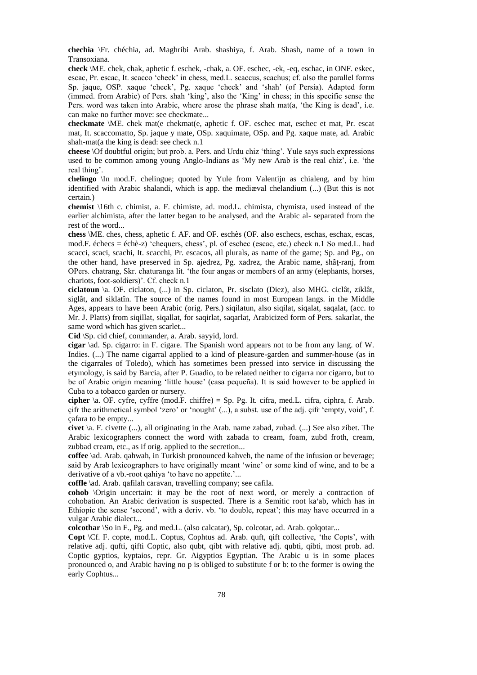**chechia** \Fr. chéchia, ad. Maghribi Arab. shashiya, f. Arab. Shash, name of a town in Transoxiana.

**check** \ME. chek, chak, aphetic f. eschek, -chak, a. OF. eschec, -ek, -eq, eschac, in ONF. eskec, escac, Pr. escac, It. scacco 'check' in chess, med.L. scaccus, scachus; cf. also the parallel forms Sp. jaque, OSP. xaque 'check', Pg. xaque 'check' and 'shah' (of Persia). Adapted form (immed. from Arabic) of Pers. shah 'king', also the 'King' in chess; in this specific sense the Pers. word was taken into Arabic, where arose the phrase shah mat(a, 'the King is dead', i.e. can make no further move: see checkmate...

**checkmate** \ME. chek mat(e chekmat(e, aphetic f. OF. eschec mat, eschec et mat, Pr. escat mat, It. scaccomatto, Sp. jaque y mate, OSp. xaquimate, OSp. and Pg. xaque mate, ad. Arabic shah-mat(a the king is dead: see check n.1

**cheese** \Of doubtful origin; but prob. a. Pers. and Urdu chiz 'thing'. Yule says such expressions used to be common among young Anglo-Indians as 'My new Arab is the real chiz', i.e. 'the real thing'.

**chelingo** \In mod.F. chelingue; quoted by Yule from Valentijn as chialeng, and by him identified with Arabic shalandi, which is app. the mediæval chelandium (...) (But this is not certain.)

**chemist** \16th c. chimist, a. F. chimiste, ad. mod.L. chimista, chymista, used instead of the earlier alchimista, after the latter began to be analysed, and the Arabic al- separated from the rest of the word...

**chess** \ME. ches, chess, aphetic f. AF. and OF. eschès (OF. also eschecs, eschas, eschax, escas, mod.F. échecs = échè-z) 'chequers, chess', pl. of eschec (escac, etc.) check n.1 So med.L. had scacci, scaci, scachi, It. scacchi, Pr. escacos, all plurals, as name of the game; Sp. and Pg., on the other hand, have preserved in Sp. ajedrez, Pg. xadrez, the Arabic name, shât-ranj, from OPers. chatrang, Skr. chaturanga lit. 'the four angas or members of an army (elephants, horses, chariots, foot-soldiers)'. Cf. check n.1

**ciclatoun** \a. OF. ciclaton, (...) in Sp. ciclaton, Pr. sisclato (Diez), also MHG. ciclât, ziklât, siglât, and siklatîn. The source of the names found in most European langs. in the Middle Ages, appears to have been Arabic (orig. Pers.) siqilatun, also siqilat, siqalat, saqalat, (acc. to Mr. J. Platts) from siqillat, siqallat, for saqirlat, saqarlat, Arabicized form of Pers. sakarlat, the same word which has given scarlet...

**Cid** \Sp. cid chief, commander, a. Arab. sayyid, lord.

**cigar** \ad. Sp. cigarro: in F. cigare. The Spanish word appears not to be from any lang. of W. Indies. (...) The name cigarral applied to a kind of pleasure-garden and summer-house (as in the cigarrales of Toledo), which has sometimes been pressed into service in discussing the etymology, is said by Barcia, after P. Guadio, to be related neither to cigarra nor cigarro, but to be of Arabic origin meaning 'little house' (casa pequeña). It is said however to be applied in Cuba to a tobacco garden or nursery.

**cipher** \a. OF. cyfre, cyffre (mod.F. chiffre) = Sp. Pg. It. cifra, med.L. cifra, ciphra, f. Arab. çifr the arithmetical symbol 'zero' or 'nought' (...), a subst. use of the adj. çifr 'empty, void', f. çafara to be empty...

**civet** \a. F. civette (...), all originating in the Arab. name zabad, zubad. (...) See also zibet. The Arabic lexicographers connect the word with zabada to cream, foam, zubd froth, cream, zubbad cream, etc., as if orig. applied to the secretion...

**coffee** \ad. Arab. qahwah, in Turkish pronounced kahveh, the name of the infusion or beverage; said by Arab lexicographers to have originally meant 'wine' or some kind of wine, and to be a derivative of a vb.-root qahiya 'to have no appetite.'...

**coffle** \ad. Arab. qafilah caravan, travelling company; see cafila.

**cohob** \Origin uncertain: it may be the root of next word, or merely a contraction of cohobation. An Arabic derivation is suspected. There is a Semitic root ka'ab, which has in Ethiopic the sense 'second', with a deriv. vb. 'to double, repeat'; this may have occurred in a vulgar Arabic dialect...

**colcothar** \So in F., Pg. and med.L. (also calcatar), Sp. colcotar, ad. Arab. qolqotar...

**Copt** \Cf. F. copte, mod.L. Coptus, Cophtus ad. Arab. quft, qift collective, 'the Copts', with relative adj. qufti, qifti Coptic, also qubt, qibt with relative adj. qubti, qibti, most prob. ad. Coptic gyptios, kyptaios, repr. Gr. Aigyptios Egyptian. The Arabic u is in some places pronounced o, and Arabic having no p is obliged to substitute f or b: to the former is owing the early Cophtus...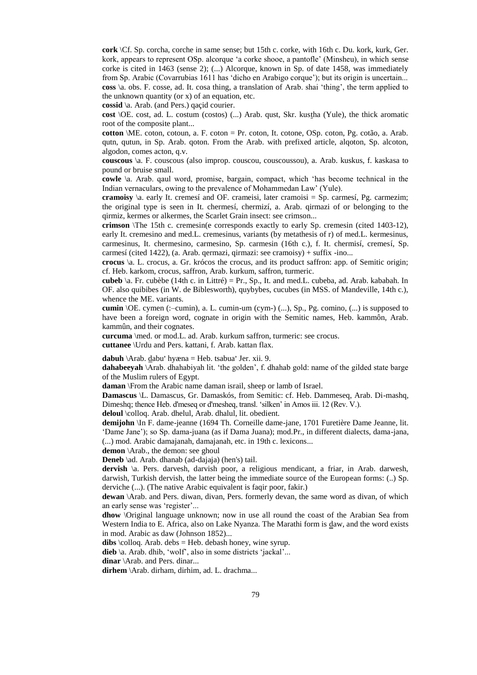**cork** \Cf. Sp. corcha, corche in same sense; but 15th c. corke, with 16th c. Du. kork, kurk, Ger. kork, appears to represent OSp. alcorque 'a corke shooe, a pantofle' (Minsheu), in which sense corke is cited in 1463 (sense 2); (...) Alcorque, known in Sp. of date 1458, was immediately from Sp. Arabic (Covarrubias 1611 has 'dicho en Arabigo corque'); but its origin is uncertain... **coss** \a. obs. F. cosse, ad. It. cosa thing, a translation of Arab. shai 'thing', the term applied to the unknown quantity (or x) of an equation, etc.

**cossid** \a. Arab. (and Pers.) qaçid courier.

**cost** \OE. cost, ad. L. costum (costos) (...) Arab. qust, Skr. kustha (Yule), the thick aromatic root of the composite plant...

**cotton** \ME. coton, cotoun, a. F. coton = Pr. coton, It. cotone, OSp. coton, Pg. cotão, a. Arab. qutn, qutun, in Sp. Arab. qoton. From the Arab. with prefixed article, alqoton, Sp. alcoton, algodon, comes acton, q.v.

**couscous** \a. F. couscous (also improp. couscou, couscoussou), a. Arab. kuskus, f. kaskasa to pound or bruise small.

**cowle** \a. Arab. qaul word, promise, bargain, compact, which 'has become technical in the Indian vernaculars, owing to the prevalence of Mohammedan Law' (Yule).

**cramoisy**  $\a$ . early It. cremesí and OF. crameisi, later cramoisi = Sp. carmesí, Pg. carmezim; the original type is seen in It. chermesí, chermizí, a. Arab. qirmazi of or belonging to the qirmiz, kermes or alkermes, the Scarlet Grain insect: see crimson...

**crimson** \The 15th c. cremesin(e corresponds exactly to early Sp. cremesin (cited 1403-12), early It. cremesino and med.L. cremesinus, variants (by metathesis of r) of med.L. kermesinus, carmesinus, It. chermesino, carmesino, Sp. carmesin (16th c.), f. It. chermisí, cremesí, Sp. carmesí (cited 1422), (a. Arab. qermazi, qirmazi: see cramoisy) + suffix -ino...

**crocus** \a. L. crocus, a. Gr. krócos the crocus, and its product saffron: app. of Semitic origin; cf. Heb. karkom, crocus, saffron, Arab. kurkum, saffron, turmeric.

**cubeb** \a. Fr. cubèbe (14th c. in Littré) = Pr., Sp., It. and med.L. cubeba, ad. Arab. kababah. In OF. also quibibes (in W. de Biblesworth), quybybes, cucubes (in MSS. of Mandeville, 14th c.), whence the ME. variants.

**cumin** \OE. cymen (:–cumin), a. L. cumin-um (cym-) (...), Sp., Pg. comino, (...) is supposed to have been a foreign word, cognate in origin with the Semitic names, Heb. kammôn, Arab. kammûn, and their cognates.

**curcuma** \med. or mod.L. ad. Arab. kurkum saffron, turmeric: see crocus.

**cuttanee** \Urdu and Pers. kattani, f. Arab. kattan flax.

dabuh \Arab. dabu' hyæna = Heb. tsabua' Jer. xii. 9.

**dahabeeyah** \Arab. dhahabiyah lit. 'the golden', f. dhahab gold: name of the gilded state barge of the Muslim rulers of Egypt.

**daman** \From the Arabic name daman israil, sheep or lamb of Israel.

**Damascus** \L. Damascus, Gr. Damaskós, from Semitic: cf. Heb. Dammeseq, Arab. Di-mashq, Dimeshq; thence Heb. d'meseq or d'mesheq, transl. 'silken' in Amos iii. 12 (Rev. V.).

deloul \colloq. Arab. dhelul, Arab. dhalul, lit. obedient.

**demijohn** \In F. dame-jeanne (1694 Th. Corneille dame-jane, 1701 Furetière Dame Jeanne, lit. 'Dame Jane'); so Sp. dama-juana (as if Dama Juana); mod.Pr., in different dialects, dama-jana, (...) mod. Arabic damajanah, damajanah, etc. in 19th c. lexicons...

**demon** \Arab., the demon: see ghoul

**Deneb** \ad. Arab. dhanab (ad-dajaja) (hen's) tail.

**dervish** \a. Pers. darvesh, darvish poor, a religious mendicant, a friar, in Arab. darwesh, darwish, Turkish dervish, the latter being the immediate source of the European forms: (..) Sp. derviche (...). (The native Arabic equivalent is faqir poor, fakir.)

**dewan** \Arab. and Pers. diwan, divan, Pers. formerly devan, the same word as divan, of which an early sense was 'register'...

**dhow** \Original language unknown; now in use all round the coast of the Arabian Sea from Western India to E. Africa, also on Lake Nyanza. The Marathi form is daw, and the word exists in mod. Arabic as daw (Johnson 1852)...

**dibs**  $\text{colloq. Arab.}$  debs = Heb. debash honey, wine syrup.

**dieb** \a. Arab. dhib, 'wolf', also in some districts 'jackal'...

**dinar** \Arab. and Pers. dinar...

**dirhem** \Arab. dirham, dirhim, ad. L. drachma...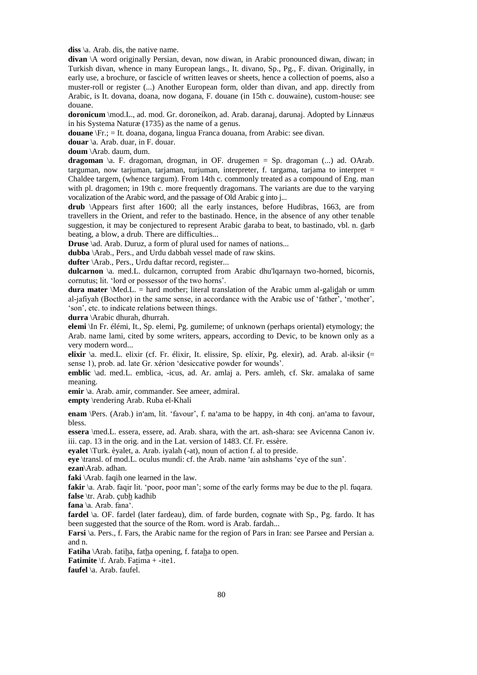**diss** \a. Arab. dis, the native name.

**divan** \A word originally Persian, devan, now diwan, in Arabic pronounced diwan, diwan; in Turkish divan, whence in many European langs., It. divano, Sp., Pg., F. divan. Originally, in early use, a brochure, or fascicle of written leaves or sheets, hence a collection of poems, also a muster-roll or register (...) Another European form, older than divan, and app. directly from Arabic, is It. dovana, doana, now dogana, F. douane (in 15th c. douwaine), custom-house: see douane.

**doronicum** \mod.L., ad. mod. Gr. doroneíkon, ad. Arab. daranaj, darunaj. Adopted by Linnæus in his Systema Naturæ (1735) as the name of a genus.

**douane** \Fr.; = It. doana, dogana, lingua Franca douana, from Arabic: see divan.

**douar** \a. Arab. duar, in F. douar.

**doum** \Arab. daum, dum.

**dragoman** \a. F. dragoman, drogman, in OF. drugemen = Sp. dragoman (...) ad. OArab. targuman, now tarjuman, tarjaman, turjuman, interpreter, f. targama, tarjama to interpret = Chaldee targem, (whence targum). From 14th c. commonly treated as a compound of Eng. man with pl. dragomen; in 19th c. more frequently dragomans. The variants are due to the varying vocalization of the Arabic word, and the passage of Old Arabic g into j...

**drub** \Appears first after 1600; all the early instances, before Hudibras, 1663, are from travellers in the Orient, and refer to the bastinado. Hence, in the absence of any other tenable suggestion, it may be conjectured to represent Arabic daraba to beat, to bastinado, vbl. n. darb beating, a blow, a drub. There are difficulties...

**Druse** \ad. Arab. Duruz, a form of plural used for names of nations...

**dubba** \Arab., Pers., and Urdu dabbah vessel made of raw skins.

**dufter** \Arab., Pers., Urdu daftar record, register...

**dulcarnon** \a. med.L. dulcarnon, corrupted from Arabic dhu'lqarnayn two-horned, bicornis, cornutus; lit. 'lord or possessor of the two horns'.

**dura mater** *\Med.L.* = hard mother; literal translation of the Arabic umm al-galidah or umm al-jafiyah (Bocthor) in the same sense, in accordance with the Arabic use of 'father', 'mother', 'son', etc. to indicate relations between things.

**durra** \Arabic dhurah, dhurrah.

**elemi** \In Fr. élémi, It., Sp. elemi, Pg. gumileme; of unknown (perhaps oriental) etymology; the Arab. name lami, cited by some writers, appears, according to Devic, to be known only as a very modern word...

**elixir** \a. med.L. elixir (cf. Fr. élixir, It. elissire, Sp. elíxir, Pg. elexir), ad. Arab. al-iksir (= sense 1), prob. ad. late Gr. xérion 'desiccative powder for wounds'.

**emblic** \ad. med.L. emblica, -icus, ad. Ar. amlaj a. Pers. amleh, cf. Skr. amalaka of same meaning.

**emir** \a. Arab. amir, commander. See ameer, admiral.

**empty** \rendering Arab. Ruba el-Khali

enam \Pers. (Arab.) in'am, lit. 'favour', f. na'ama to be happy, in 4th conj. an'ama to favour, bless.

**essera** \med.L. essera, essere, ad. Arab. shara, with the art. ash-shara: see Avicenna Canon iv. iii. cap. 13 in the orig. and in the Lat. version of 1483. Cf. Fr. essère.

**eyalet** \Turk. èyalet, a. Arab. iyalah (-at), noun of action f. al to preside.

**eyalte**  $\{\text{rank}, \text{value}, \text{all}, \text{rank}, \text{ball}, \text{all} \}$  and of action i. at to preside.

**ezan**\Arab. adhan.

**faki** \Arab. faqih one learned in the law.

**fakir**  $\alpha$ . Arab. faqir lit. 'poor, poor man'; some of the early forms may be due to the pl. fuqara.

**false** \tr. Arab. çubh kadhib

**fana** \a. Arab. fana'.

**fardel** \a. OF. fardel (later fardeau), dim. of farde burden, cognate with Sp., Pg. fardo. It has been suggested that the source of the Rom. word is Arab. fardah...

**Farsi** \a. Pers., f. Fars, the Arabic name for the region of Pars in Iran: see Parsee and Persian a. and n.

**Fatiha** \Arab. fatiha, fatha opening, f. fataha to open.

**Fatimite** \f. Arab. Fatima + -ite1.

**faufel** \a. Arab. faufel.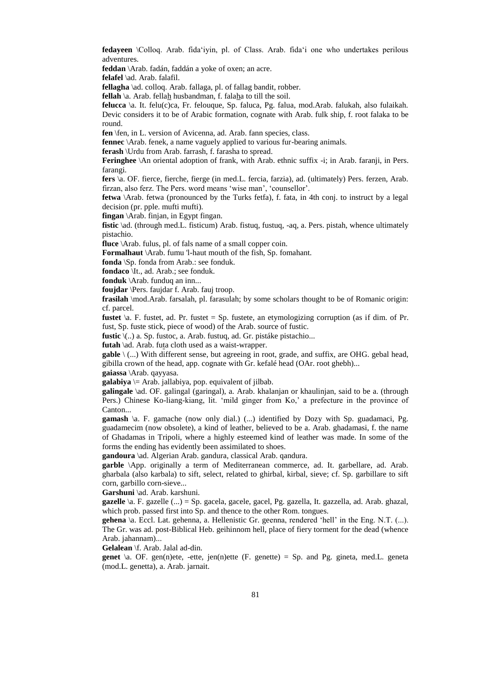**fedayeen** \Colloq. Arab. fida'iyin, pl. of Class. Arab. fida'i one who undertakes perilous adventures.

**feddan** \Arab. fadán, faddán a yoke of oxen; an acre.

**felafel** \ad. Arab. falafil.

**fellagha** \ad. colloq. Arab. fallaga, pl. of fallag bandit, robber.

**fellah** \a. Arab. fellah husbandman, f. falaha to till the soil.

**felucca** \a. It. felu(c)ca, Fr. felouque, Sp. faluca, Pg. falua, mod.Arab. falukah, also fulaikah.

Devic considers it to be of Arabic formation, cognate with Arab. fulk ship, f. root falaka to be round.

**fen** \fen, in L. version of Avicenna, ad. Arab. fann species, class.

**fennec** \Arab. fenek, a name vaguely applied to various fur-bearing animals.

**ferash** \Urdu from Arab. farrash, f. farasha to spread.

**Feringhee** \An oriental adoption of frank, with Arab. ethnic suffix -i; in Arab. faranji, in Pers. farangi.

**fers** \a. OF. fierce, fierche, fierge (in med.L. fercia, farzia), ad. (ultimately) Pers. ferzen, Arab. firzan, also ferz. The Pers. word means 'wise man', 'counsellor'.

**fetwa** \Arab. fetwa (pronounced by the Turks fetfa), f. fata, in 4th conj. to instruct by a legal decision (pr. pple. mufti mufti).

**fingan** \Arab. finjan, in Egypt fingan.

**fistic** \ad. (through med.L. fisticum) Arab. fistuq, fustuq, -aq, a. Pers. pistah, whence ultimately pistachio.

**fluce** \Arab. fulus, pl. of fals name of a small copper coin.

**Formalhaut** \Arab. fumu 'l-haut mouth of the fish, Sp. fomahant.

**fonda** \Sp. fonda from Arab.: see fonduk.

**fondaco** \It., ad. Arab.; see fonduk.

**fonduk** \Arab. funduq an inn...

**foujdar** \Pers. faujdar f. Arab. fauj troop.

**frasilah** \mod.Arab. farsalah, pl. farasulah; by some scholars thought to be of Romanic origin: cf. parcel.

**fustet**  $\alpha$ . F. fustet, ad. Pr. fustet = Sp. fustete, an etymologizing corruption (as if dim. of Pr. fust, Sp. fuste stick, piece of wood) of the Arab. source of fustic.

**fustic** \(..) a. Sp. fustoc, a. Arab. fustuq, ad. Gr. pistáke pistachio...

futah \ad. Arab. futa cloth used as a waist-wrapper.

**gable** \ (...) With different sense, but agreeing in root, grade, and suffix, are OHG. gebal head, gibilla crown of the head, app. cognate with Gr. kefalé head (OAr. root ghebh)...

**gaiassa** \Arab. qayyasa.

**galabiya**  $\models$  Arab. jallabiya, pop. equivalent of jilbab.

**galingale** \ad. OF. galingal (garingal), a. Arab. khalanjan or khaulinjan, said to be a. (through Pers.) Chinese Ko-liang-kiang, lit. 'mild ginger from Ko,' a prefecture in the province of Canton...

**gamash** \a. F. gamache (now only dial.) (...) identified by Dozy with Sp. guadamaci, Pg. guadamecim (now obsolete), a kind of leather, believed to be a. Arab. ghadamasi, f. the name of Ghadamas in Tripoli, where a highly esteemed kind of leather was made. In some of the forms the ending has evidently been assimilated to shoes.

**gandoura** \ad. Algerian Arab. gandura, classical Arab. qandura.

**garble** \App. originally a term of Mediterranean commerce, ad. It. garbellare, ad. Arab. gharbala (also karbala) to sift, select, related to ghirbal, kirbal, sieve; cf. Sp. garbillare to sift corn, garbillo corn-sieve...

**Garshuni** \ad. Arab. karshuni.

**gazelle** \a. F. gazelle (...) = Sp. gacela, gacele, gacel, Pg. gazella, It. gazzella, ad. Arab. ghazal, which prob. passed first into Sp. and thence to the other Rom. tongues.

**gehena** \a. Eccl. Lat. gehenna, a. Hellenistic Gr. geenna, rendered 'hell' in the Eng. N.T. (...). The Gr. was ad. post-Biblical Heb. geihinnom hell, place of fiery torment for the dead (whence Arab. jahannam)...

**Gelalean** \f. Arab. Jalal ad-din.

**genet** \a. OF. gen(n)ete, -ette, jen(n)ette (F. genette) = Sp. and Pg. gineta, med.L. geneta (mod.L. genetta), a. Arab. jarnait.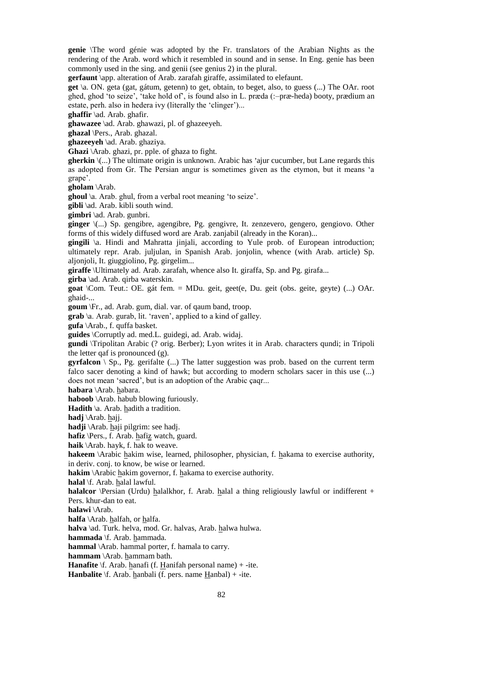**genie** \The word génie was adopted by the Fr. translators of the Arabian Nights as the rendering of the Arab. word which it resembled in sound and in sense. In Eng. genie has been commonly used in the sing. and genii (see genius 2) in the plural.

**gerfaunt** \app. alteration of Arab. zarafah giraffe, assimilated to elefaunt.

**get** \a. ON. geta (gat, gátum, getenn) to get, obtain, to beget, also, to guess (...) The OAr. root ghed, ghod 'to seize', 'take hold of', is found also in L. præda (:–præ-heda) booty, prædium an estate, perh. also in hedera ivy (literally the 'clinger')...

**ghaffir** \ad. Arab. ghafir.

**ghawazee** \ad. Arab. ghawazi, pl. of ghazeeyeh.

**ghazal** \Pers., Arab. ghazal.

**ghazeeyeh** \ad. Arab. ghaziya.

**Ghazi** \Arab. ghazi, pr. pple. of ghaza to fight.

gherkin  $\langle ... \rangle$  The ultimate origin is unknown. Arabic has 'ajur cucumber, but Lane regards this as adopted from Gr. The Persian angur is sometimes given as the etymon, but it means 'a grape'.

**gholam** \Arab.

**ghoul** \a. Arab. ghul, from a verbal root meaning 'to seize'.

**gibli** \ad. Arab. kibli south wind.

**gimbri** \ad. Arab. gunbri.

**ginger** \(...) Sp. gengibre, agengibre, Pg. gengivre, It. zenzevero, gengero, gengiovo. Other forms of this widely diffused word are Arab. zanjabil (already in the Koran)...

**gingili** \a. Hindi and Mahratta jinjali, according to Yule prob. of European introduction; ultimately repr. Arab. juljulan, in Spanish Arab. jonjolin, whence (with Arab. article) Sp. aljonjoli, It. giuggiolino, Pg. girgelim...

**giraffe** \Ultimately ad. Arab. zarafah, whence also It. giraffa, Sp. and Pg. girafa...

**girba** \ad. Arab. qirba waterskin.

**goat** \Com. Teut.: OE. gát fem. = MDu. geit, geet(e, Du. geit (obs. geite, geyte) (...) OAr. ghaid-...

**goum** \Fr., ad. Arab. gum, dial. var. of qaum band, troop.

**grab** \a. Arab. gurab, lit. 'raven', applied to a kind of galley.

**gufa** \Arab., f. quffa basket.

**guides** \Corruptly ad. med.L. guidegi, ad. Arab. widaj.

**gundi** \Tripolitan Arabic (? orig. Berber); Lyon writes it in Arab. characters qundi; in Tripoli the letter qaf is pronounced (g).

**gyrfalcon** \ Sp., Pg. gerifalte (...) The latter suggestion was prob. based on the current term falco sacer denoting a kind of hawk; but according to modern scholars sacer in this use (...) does not mean 'sacred', but is an adoption of the Arabic çaqr...

**habara** \Arab. habara.

**haboob** \Arab. habub blowing furiously.

**Hadith** \a. Arab. hadith a tradition.

**hadj** \Arab. hajj.

**hadji** \Arab. haji pilgrim: see hadj.

**hafiz** \Pers., f. Arab. hafiz watch, guard.

**haik** \Arab. hayk, f. hak to weave.

**hakeem** \Arabic hakim wise, learned, philosopher, physician, f. hakama to exercise authority,

in deriv. conj. to know, be wise or learned.

**hakim** \Arabic hakim governor, f. hakama to exercise authority.

**halal** \f. Arab. halal lawful.

**halalcor** \Persian (Urdu) halalkhor, f. Arab. halal a thing religiously lawful or indifferent + Pers. khur-dan to eat.

**halawi** \Arab.

**halfa** \Arab. halfah, or halfa.

halva \ad. Turk. helva, mod. Gr. halvas, Arab. halwa hulwa.

**hammada** \f. Arab. hammada.

**hammal** \Arab. hammal porter, f. hamala to carry.

**hammam** \Arab. hammam bath.

**Hanafite** \f. Arab. hanafi (f. Hanifah personal name) + -ite.

**Hanbalite** \f. Arab. hanbali (f. pers. name Hanbal) + -ite.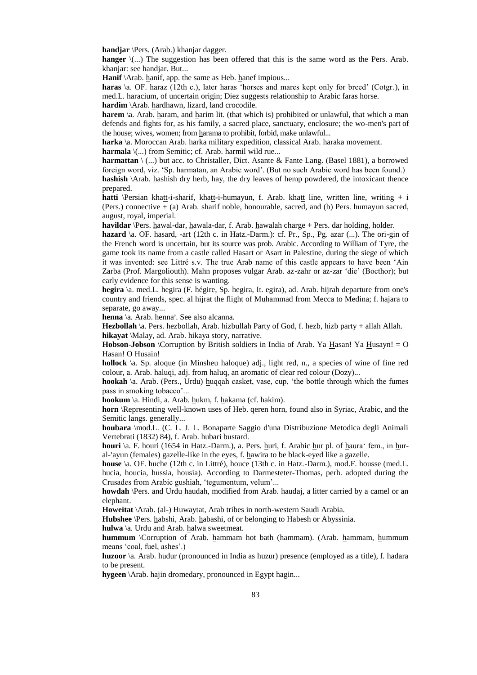**handjar** \Pers. (Arab.) khanjar dagger.

**hanger**  $\langle$ ...) The suggestion has been offered that this is the same word as the Pers. Arab. khanjar: see handjar. But...

**Hanif** \Arab. hanif, app. the same as Heb. hanef impious...

**haras** \a. OF. haraz (12th c.), later haras 'horses and mares kept only for breed' (Cotgr.), in med.L. haracium, of uncertain origin; Diez suggests relationship to Arabic faras horse. **hardim** \Arab. hardhawn, lizard, land crocodile.

**harem** \a. Arab. haram, and harim lit. (that which is) prohibited or unlawful, that which a man defends and fights for, as his family, a sacred place, sanctuary, enclosure; the wo-men's part of the house; wives, women; from harama to prohibit, forbid, make unlawful...

**harka** \a. Moroccan Arab. harka military expedition, classical Arab. haraka movement.

**harmala**  $\langle$ ...) from Semitic; cf. Arab. harmil wild rue...

**harmattan** \ (...) but acc. to Christaller, Dict. Asante & Fante Lang. (Basel 1881), a borrowed foreign word, viz. 'Sp. harmatan, an Arabic word'. (But no such Arabic word has been found.) **hashish** \Arab. hashish dry herb, hay, the dry leaves of hemp powdered, the intoxicant thence prepared.

**hatti** \Persian khatt-i-sharif, khatt-i-humayun, f. Arab. khatt line, written line, writing + i (Pers.) connective + (a) Arab. sharif noble, honourable, sacred, and (b) Pers. humayun sacred, august, royal, imperial.

**havildar** \Pers. hawal-dar, hawala-dar, f. Arab. hawalah charge + Pers. dar holding, holder.

**hazard** \a. OF. hasard, -art (12th c. in Hatz.-Darm.): cf. Pr., Sp., Pg. azar (...). The ori-gin of the French word is uncertain, but its source was prob. Arabic. According to William of Tyre, the game took its name from a castle called Hasart or Asart in Palestine, during the siege of which it was invented: see Littré s.v. The true Arab name of this castle appears to have been 'Ain Zarba (Prof. Margoliouth). Mahn proposes vulgar Arab. az-zahr or az-zar 'die' (Bocthor); but early evidence for this sense is wanting.

**hegira** \a. med.L. hegira (F. hégire, Sp. hegira, It. egira), ad. Arab. hijrah departure from one's country and friends, spec. al hijrat the flight of Muhammad from Mecca to Medina; f. hajara to separate, go away...

**henna** \a. Arab. henna , . See also alcanna.

**Hezbollah** \a. Pers. hezbollah, Arab. hizbullah Party of God, f. hezb, hizb party + allah Allah. **hikayat** \Malay, ad. Arab. hikaya story, narrative.

**Hobson-Jobson** *\Corruption by British soldiers in India of Arab. Ya Hasan! Ya Husayn!* = O Hasan! O Husain!

**hollock** \a. Sp. aloque (in Minsheu haloque) adj., light red, n., a species of wine of fine red colour, a. Arab. haluqi, adj. from haluq, an aromatic of clear red colour (Dozy)...

**hookah** \a. Arab. (Pers., Urdu) huqqah casket, vase, cup, 'the bottle through which the fumes pass in smoking tobacco'...

**hookum** \a. Hindi, a. Arab. hukm, f. hakama (cf. hakim).

**horn** *\Representing well-known uses of Heb. qeren horn, found also in Syriac, Arabic, and the* Semitic langs. generally...

**houbara** \mod.L. (C. L. J. L. Bonaparte Saggio d'una Distribuzione Metodica degli Animali Vertebrati (1832) 84), f. Arab. hubari bustard.

**houri** \a. F. houri (1654 in Hatz.-Darm.), a. Pers. huri, f. Arabic hur pl. of haura' fem., in hur- $\frac{1}{2}$  al-'ayun (females) gazelle-like in the eyes, f. hawira to be black-eyed like a gazelle.

**house** \a. OF. huche (12th c. in Littré), houce (13th c. in Hatz.-Darm.), mod.F. housse (med.L. hucia, houcia, hussia, housia). According to Darmesteter-Thomas, perh. adopted during the Crusades from Arabic gushiah, 'tegumentum, velum'...

**howdah** \Pers. and Urdu haudah, modified from Arab. haudaj, a litter carried by a camel or an elephant.

**Howeitat** \Arab. (al-) Huwaytat, Arab tribes in north-western Saudi Arabia.

**Hubshee** \Pers. habshi, Arab. habashi, of or belonging to Habesh or Abyssinia.

**hulwa** \a. Urdu and Arab. halwa sweetmeat.

**hummum** \Corruption of Arab. hammam hot bath (hammam). (Arab. hammam, hummum means 'coal, fuel, ashes'.)

**huzoor** \a. Arab. hudur (pronounced in India as huzur) presence (employed as a title), f. hadara to be present.

**hygeen** \Arab. hajin dromedary, pronounced in Egypt hagin...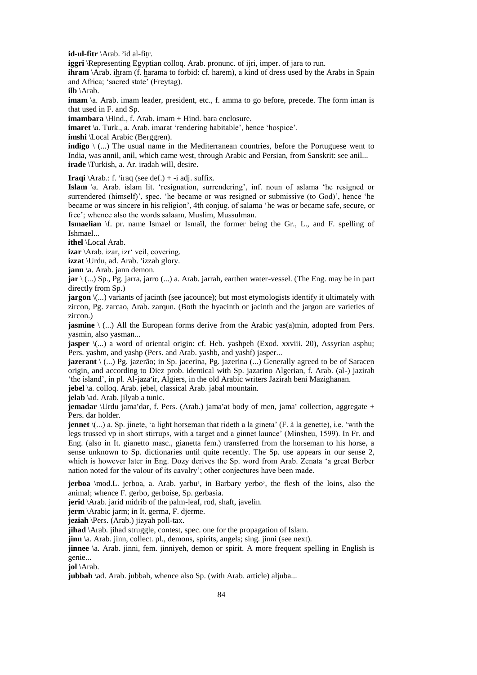**id-ul-fitr** \Arab. 'id al-fitr.

**iggri** \Representing Egyptian colloq. Arab. pronunc. of ijri, imper. of jara to run.

**ihram** \Arab. ihram (f. harama to forbid: cf. harem), a kind of dress used by the Arabs in Spain and Africa; 'sacred state' (Freytag).

**ilb** \Arab.

**imam**  $\alpha$ . Arab. imam leader, president, etc., f. amma to go before, precede. The form iman is that used in F. and Sp.

**imambara** \Hind., f. Arab. imam + Hind. bara enclosure.

**imaret**  $\langle a, \text{Turk.}, a, \text{Arab.} \rangle$  imarat 'rendering habitable', hence 'hospice'.

**imshi** *\Local Arabic (Berggren).* 

**indigo**  $\setminus$  (...) The usual name in the Mediterranean countries, before the Portuguese went to India, was annil, anil, which came west, through Arabic and Persian, from Sanskrit: see anil... **irade** \Turkish, a. Ar. iradah will, desire.

**Iraqi**  $\text{Arab.: } f$ . 'iraq (see def.) + -i adj. suffix.

**Islam** \a. Arab. islam lit. 'resignation, surrendering', inf. noun of aslama 'he resigned or surrendered (himself)', spec. 'he became or was resigned or submissive (to God)', hence 'he became or was sincere in his religion', 4th conjug. of salama 'he was or became safe, secure, or free'; whence also the words salaam, Muslim, Mussulman.

**Ismaelian** \f. pr. name Ismael or Ismaïl, the former being the Gr., L., and F. spelling of Ishmael...

**ithel** \Local Arab.

**izar** \Arab. izar, izr' veil, covering.

**izzat** \Urdu, ad. Arab. 'izzah glory.

**jann** \a. Arab. jann demon.

**jar** \ (...) Sp., Pg. jarra, jarro (...) a. Arab. jarrah, earthen water-vessel. (The Eng. may be in part directly from Sp.)

**jargon**  $\langle$ ...) variants of jacinth (see jacounce); but most etymologists identify it ultimately with zircon, Pg. zarcao, Arab. zarqun. (Both the hyacinth or jacinth and the jargon are varieties of zircon.)

**jasmine** \ (...) All the European forms derive from the Arabic yas(a)min, adopted from Pers. yasmin, also yasman...

**jasper**  $\langle$ ...) a word of oriental origin: cf. Heb. yashpeh (Exod. xxviii. 20), Assyrian asphu; Pers. yashm, and yashp (Pers. and Arab. yashb, and yashf) jasper...

**jazerant** \ (...) Pg. jazerão; in Sp. jacerina, Pg. jazerina (...) Generally agreed to be of Saracen origin, and according to Diez prob. identical with Sp. jazarino Algerian, f. Arab. (al-) jazirah 'the island', in pl. Al-jaza, ir, Algiers, in the old Arabic writers Jazirah beni Mazighanan.

**jebel** \a. colloq. Arab. jebel, classical Arab. jabal mountain.

**jelab** \ad. Arab. jilyab a tunic.

**jemadar** \Urdu jama'dar, f. Pers. (Arab.) jama'at body of men, jama' collection, aggregate + Pers. dar holder.

**jennet**  $\langle$ ...) a. Sp. jinete, 'a light horseman that rideth a la gineta' (F. à la genette), i.e. 'with the legs trussed vp in short stirrups, with a target and a ginnet launce' (Minsheu, 1599). In Fr. and Eng. (also in It. gianetto masc., gianetta fem.) transferred from the horseman to his horse, a sense unknown to Sp. dictionaries until quite recently. The Sp. use appears in our sense 2, which is however later in Eng. Dozy derives the Sp. word from Arab. Zenata 'a great Berber nation noted for the valour of its cavalry'; other conjectures have been made.

**jerboa** \mod.L. jerboa, a. Arab. yarbu', in Barbary yerbo', the flesh of the loins, also the animal; whence F. gerbo, gerboise, Sp. gerbasia.

**jerid** \Arab. jarid midrib of the palm-leaf, rod, shaft, javelin.

**jerm** \Arabic jarm; in It. germa, F. djerme.

**jeziah** \Pers. (Arab.) jizyah poll-tax.

**jihad** \Arab. jihad struggle, contest, spec. one for the propagation of Islam.

**jinn** \a. Arab. jinn, collect. pl., demons, spirits, angels; sing. jinni (see next).

**jinnee** \a. Arab. jinni, fem. jinniyeh, demon or spirit. A more frequent spelling in English is genie...

**jol** \Arab.

**jubbah** \ad. Arab. jubbah, whence also Sp. (with Arab. article) aljuba...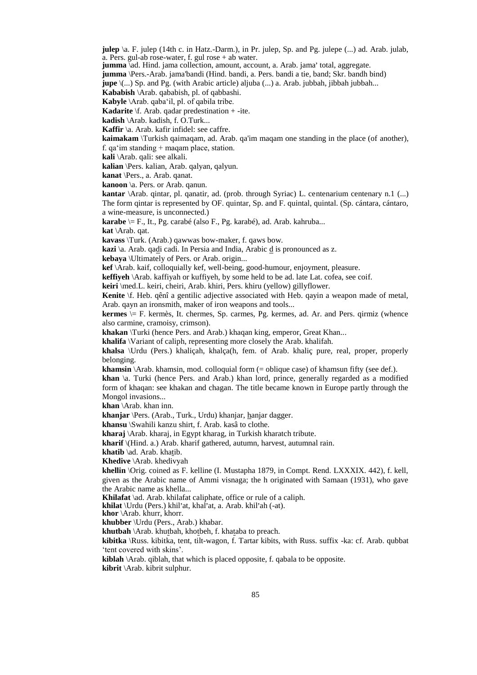**julep** \a. F. julep (14th c. in Hatz.-Darm.), in Pr. julep, Sp. and Pg. julepe (...) ad. Arab. julab, a. Pers. gul-ab rose-water, f. gul rose + ab water.

a. i ers. gai-ab rose-water, r. gai rose + ab water.<br>**jumma** \ad. Hind. jama collection, amount, account, a. Arab. jama' total, aggregate.

**jumma** \Pers.-Arab. jama'bandi (Hind. bandi, a. Pers. bandi a tie, band; Skr. bandh bind)

**jupe** \(...) Sp. and Pg. (with Arabic article) aljuba (...) a. Arab. jubbah, jibbah jubbah...

**Kababish** \Arab. qababish, pl. of qabbashi.

**Kabyle** \Arab. qaba'il, pl. of qabila tribe.

**Kadarite** \f. Arab. qadar predestination + -ite.

**kadish** \Arab. kadish, f. O.Turk...

**Kaffir** \a. Arab. kafir infidel: see caffre.

**kaimakam** \Turkish qaimaqam, ad. Arab. qa'im maqam one standing in the place (of another), f. qa'im standing + maqam place, station.

**kali** \Arab. qali: see alkali.

**kalian** \Pers. kalian, Arab. qalyan, qalyun.

**kanat** \Pers., a. Arab. qanat.

**kanoon** \a. Pers. or Arab. qanun.

**kantar** \Arab. qintar, pl. qanatir, ad. (prob. through Syriac) L. centenarium centenary n.1 (...) The form qintar is represented by OF. quintar, Sp. and F. quintal, quintal. (Sp. cántara, cántaro, a wine-measure, is unconnected.)

**karabe** \= F., It., Pg. carabé (also F., Pg. karabé), ad. Arab. kahruba...

**kat** \Arab. qat.

**kavass** \Turk. (Arab.) qawwas bow-maker, f. qaws bow.

kazi \a. Arab. qadi cadi. In Persia and India, Arabic d is pronounced as z.

**kebaya** \Ultimately of Pers. or Arab. origin...

**kef** \Arab. kaif, colloquially kef, well-being, good-humour, enjoyment, pleasure.

**keffiyeh** \Arab. kaffiyah or kuffiyeh, by some held to be ad. late Lat. cofea, see coif.

**keiri** \med.L. keiri, cheiri, Arab. khiri, Pers. khiru (yellow) gillyflower.

**Kenite** \f. Heb. qênî a gentilic adjective associated with Heb. qayin a weapon made of metal, Arab. qayn an ironsmith, maker of iron weapons and tools...

**kermes**  $\equiv$  F. kermès, It. chermes, Sp. carmes, Pg. kermes, ad. Ar. and Pers. qirmiz (whence also carmine, cramoisy, crimson).

**khakan** \Turki (hence Pers. and Arab.) khaqan king, emperor, Great Khan...

**khalifa** \Variant of caliph, representing more closely the Arab. khalifah.

**khalsa** \Urdu (Pers.) khaliçah, khalça(h, fem. of Arab. khaliç pure, real, proper, properly belonging.

**khamsin** \Arab. khamsin, mod. colloquial form (= oblique case) of khamsun fifty (see def.).

**khan** \a. Turki (hence Pers. and Arab.) khan lord, prince, generally regarded as a modified form of khaqan: see khakan and chagan. The title became known in Europe partly through the Mongol invasions...

**khan** \Arab. khan inn.

khanjar \Pers. (Arab., Turk., Urdu) khanjar, hanjar dagger.

**khansu** \Swahili kanzu shirt, f. Arab. kasâ to clothe.

**kharaj** \Arab. kharaj, in Egypt kharag, in Turkish kharatch tribute.

**kharif** \(Hind. a.) Arab. kharif gathered, autumn, harvest, autumnal rain.

**khatib** \ad. Arab. khatib.

**Khedive** \Arab. khedivyah

**khellin** \Orig. coined as F. kelline (I. Mustapha 1879, in Compt. Rend. LXXXIX. 442), f. kell, given as the Arabic name of Ammi visnaga; the h originated with Samaan (1931), who gave the Arabic name as khella...

**Khilafat** \ad. Arab. khilafat caliphate, office or rule of a caliph.

**khilat** \dd. Arab. Khilarat canphate, office of fule of a d<br>**khilat** \Urdu (Pers.) khil'at, khal'at, a. Arab. khil'ah (-at).

**khor** \Arab. khurr, khorr.

**khubber** \Urdu (Pers., Arab.) khabar.

**khutbah** \Arab. khutbah, khotbeh, f. khataba to preach.

**kibitka** \Russ. kibitka, tent, tilt-wagon, f. Tartar kibits, with Russ. suffix -ka: cf. Arab. qubbat 'tent covered with skins'.

**kiblah** \Arab. qiblah, that which is placed opposite, f. qabala to be opposite.

**kibrit** \Arab. kibrit sulphur.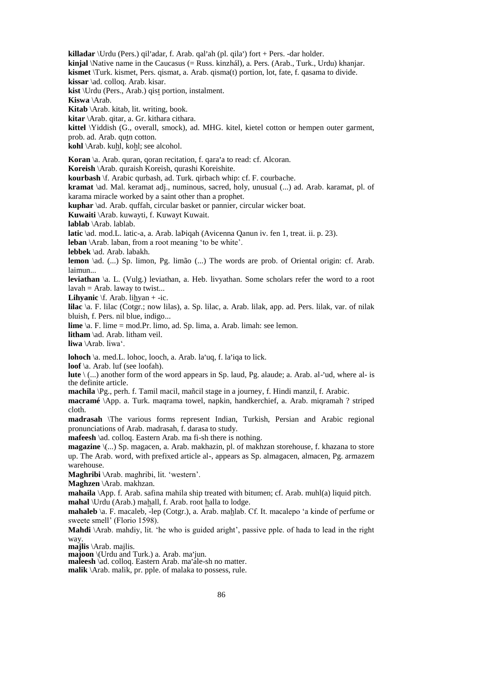killadar \Urdu (Pers.) qil'adar, f. Arab. qal'ah (pl. qila') fort + Pers. -dar holder. **kinjal** \Native name in the Caucasus (= Russ. kinzhál), a. Pers. (Arab., Turk., Urdu) khanjar. **kismet** \Turk. kismet, Pers. qismat, a. Arab. qisma(t) portion, lot, fate, f. qasama to divide. **kissar** \ad. colloq. Arab. kisar. **kist** \Urdu (Pers., Arab.) qist portion, instalment. **Kiswa** \Arab. **Kitab** \Arab. kitab, lit. writing, book. **kitar** \Arab. qitar, a. Gr. kithara cithara. **kittel** \Yiddish (G., overall, smock), ad. MHG. kitel, kietel cotton or hempen outer garment, prob. ad. Arab. qutn cotton. **kohl** \Arab. kuhl, kohl; see alcohol. Koran \a. Arab. quran, qoran recitation, f. qara'a to read: cf. Alcoran. **Koreish** \Arab. quraish Koreish, qurashi Koreishite. **kourbash** \f. Arabic qurbash, ad. Turk. qirbach whip: cf. F. courbache. **kramat** \ad. Mal. keramat adj., numinous, sacred, holy, unusual (...) ad. Arab. karamat, pl. of karama miracle worked by a saint other than a prophet. **kuphar** \ad. Arab. quffah, circular basket or pannier, circular wicker boat. **Kuwaiti** \Arab. kuwayti, f. Kuwayt Kuwait. **lablab** \Arab. lablab. **latic** \ad. mod.L. latic-a, a. Arab. laÞiqah (Avicenna Qanun iv. fen 1, treat. ii. p. 23). **leban** \Arab. laban, from a root meaning 'to be white'. **lebbek** \ad. Arab. labakh. **lemon** \ad. (...) Sp. limon, Pg. limão (...) The words are prob. of Oriental origin: cf. Arab. laimun... **leviathan** \a. L. (Vulg.) leviathan, a. Heb. livyathan. Some scholars refer the word to a root  $lavah = Arab$ . laway to twist... **Lihyanic**  $\text{f. Arab.}$  lihyan + -ic. **lilac** \a. F. lilac (Cotgr.; now lilas), a. Sp. lilac, a. Arab. lilak, app. ad. Pers. lilak, var. of nilak bluish, f. Pers. nil blue, indigo... **lime** \a. F. lime = mod.Pr. limo, ad. Sp. lima, a. Arab. limah: see lemon. **litham** \ad. Arab. litham veil. **liwa** \Arab. liwa'. **lohoch** \a. med.L. lohoc, looch, a. Arab. la'uq, f. la'iqa to lick. **loof** \a. Arab. luf (see loofah). **lute** \ (...) another form of the word appears in Sp. laud, Pg. alaude; a. Arab. al-'ud, where al- is the definite article. **machila** \Pg., perh. f. Tamil macil, mañcil stage in a journey, f. Hindi manzil, f. Arabic. **macramé** \App. a. Turk. maqrama towel, napkin, handkerchief, a. Arab. miqramah ? striped cloth. **madrasah** \The various forms represent Indian, Turkish, Persian and Arabic regional pronunciations of Arab. madrasah, f. darasa to study. **mafeesh** \ad. colloq. Eastern Arab. ma fi-sh there is nothing. **magazine** \(...) Sp. magacen, a. Arab. makhazin, pl. of makhzan storehouse, f. khazana to store up. The Arab. word, with prefixed article al-, appears as Sp. almagacen, almacen, Pg. armazem warehouse. **Maghribi** \Arab. maghribi, lit. 'western'. **Maghzen** \Arab. makhzan. **mahaila** \App. f. Arab. safina mahila ship treated with bitumen; cf. Arab. muhl(a) liquid pitch. **mahal** \Urdu (Arab.) mahall, f. Arab. root halla to lodge. **mahaleb** \a. F. macaleb, -lep (Cotgr.), a. Arab. mahlab. Cf. It. macalepo 'a kinde of perfume or sweete smell' (Florio 1598). **Mahdi** \Arab. mahdiy, lit. 'he who is guided aright', passive pple. of hada to lead in the right way **majlis** \Arab. majlis. **majus** \Arao. majus.<br>**majoon** \(Urdu and Turk.) a. Arab. ma'jun. **majoon** (Crou and Turk.) a. Arab. ma jun.<br>**maleesh** \ad. colloq. Eastern Arab. ma'ale-sh no matter. **malik** \Arab. malik, pr. pple. of malaka to possess, rule.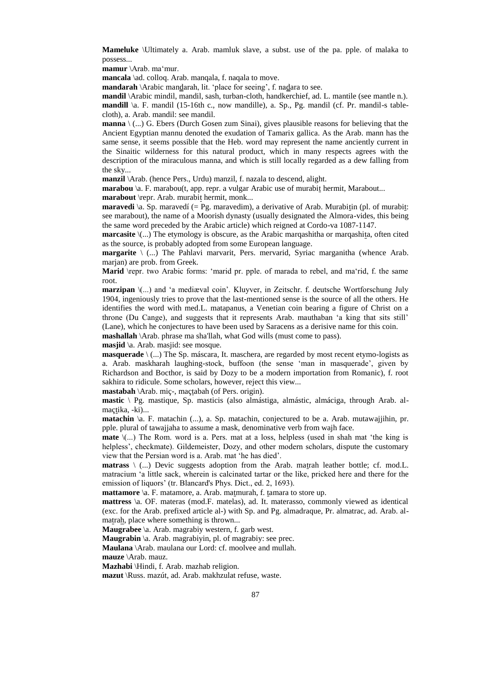**Mameluke** \Ultimately a. Arab. mamluk slave, a subst. use of the pa. pple. of malaka to possess...

**mamur** \Arab. ma'mur.

**mancala** \ad. colloq. Arab. manqala, f. naqala to move.

**mandarah** \Arabic mandarah, lit. 'place for seeing', f. nadara to see.

**mandil** \Arabic mindil, mandil, sash, turban-cloth, handkerchief, ad. L. mantile (see mantle n.). **mandill** \a. F. mandil (15-16th c., now mandille), a. Sp., Pg. mandil (cf. Pr. mandil-s tablecloth), a. Arab. mandil: see mandil.

**manna** \ (...) G. Ebers (Durch Gosen zum Sinai), gives plausible reasons for believing that the Ancient Egyptian mannu denoted the exudation of Tamarix gallica. As the Arab. mann has the same sense, it seems possible that the Heb. word may represent the name anciently current in the Sinaitic wilderness for this natural product, which in many respects agrees with the description of the miraculous manna, and which is still locally regarded as a dew falling from the sky...

**manzil** \Arab. (hence Pers., Urdu) manzil, f. nazala to descend, alight.

**marabou** \a. F. marabou(t, app. repr. a vulgar Arabic use of murabit hermit, Marabout...

**marabout** \repr. Arab. murabit hermit, monk...

**maravedi**  $\a$ . Sp. maravedí (= Pg. maravedim), a derivative of Arab. Murabitin (pl. of murabit: see marabout), the name of a Moorish dynasty (usually designated the Almora-vides, this being the same word preceded by the Arabic article) which reigned at Cordo-va 1087-1147.

**marcasite**  $\langle \dots \rangle$  The etymology is obscure, as the Arabic margashitha or margashita, often cited as the source, is probably adopted from some European language.

**margarite** \ (...) The Pahlavi marvarit, Pers. mervarid, Syriac marganitha (whence Arab. marjan) are prob. from Greek.

**Marid** \repr. two Arabic forms: 'marid pr. pple. of marada to rebel, and ma'rid, f. the same root.

**marzipan**  $\langle \ldots \rangle$  and 'a mediæval coin'. Kluyver, in Zeitschr. f. deutsche Wortforschung July 1904, ingeniously tries to prove that the last-mentioned sense is the source of all the others. He identifies the word with med.L. matapanus, a Venetian coin bearing a figure of Christ on a throne (Du Cange), and suggests that it represents Arab. mauthaban 'a king that sits still' (Lane), which he conjectures to have been used by Saracens as a derisive name for this coin.

**mashallah** \Arab. phrase ma sha'llah, what God wills (must come to pass).

**masjid** \a. Arab. masjid: see mosque.

**masquerade** \ (...) The Sp. máscara, It. maschera, are regarded by most recent etymo-logists as a. Arab. maskharah laughing-stock, buffoon (the sense 'man in masquerade', given by Richardson and Bocthor, is said by Dozy to be a modern importation from Romanic), f. root sakhira to ridicule. Some scholars, however, reject this view...

**mastabah** \Arab. miç-, maçtabah (of Pers. origin).

**mastic** \ Pg. mastique, Sp. masticis (also almástiga, almástic, almáciga, through Arab. almaçtika, -ki)...

**matachin**  $\alpha$ . F. matachin (...), a. Sp. matachin, conjectured to be a. Arab. mutawajjihin, pr. pple. plural of tawajjaha to assume a mask, denominative verb from wajh face.

**mate** \(...) The Rom. word is a. Pers. mat at a loss, helpless (used in shah mat 'the king is helpless', checkmate). Gildemeister, Dozy, and other modern scholars, dispute the customary view that the Persian word is a. Arab. mat 'he has died'.

**matrass** \ (...) Devic suggests adoption from the Arab. matrah leather bottle; cf. mod.L. matracium 'a little sack, wherein is calcinated tartar or the like, pricked here and there for the emission of liquors' (tr. Blancard's Phys. Dict., ed. 2, 1693).

**mattamore** \a. F. matamore, a. Arab. matmurah, f. tamara to store up.

**mattress** \a. OF. materas (mod.F. matelas), ad. It. materasso, commonly viewed as identical (exc. for the Arab. prefixed article al-) with Sp. and Pg. almadraque, Pr. almatrac, ad. Arab. almatrah, place where something is thrown...

**Maugrabee** \a. Arab. magrabiy western, f. garb west.

**Maugrabin** \a. Arab. magrabiyin, pl. of magrabiy: see prec.

**Maulana** \Arab. maulana our Lord: cf. moolvee and mullah. **mauze** \Arab. mauz.

**Mazhabi** \Hindi, f. Arab. mazhab religion.

**mazut** \Russ. mazút, ad. Arab. makhzulat refuse, waste.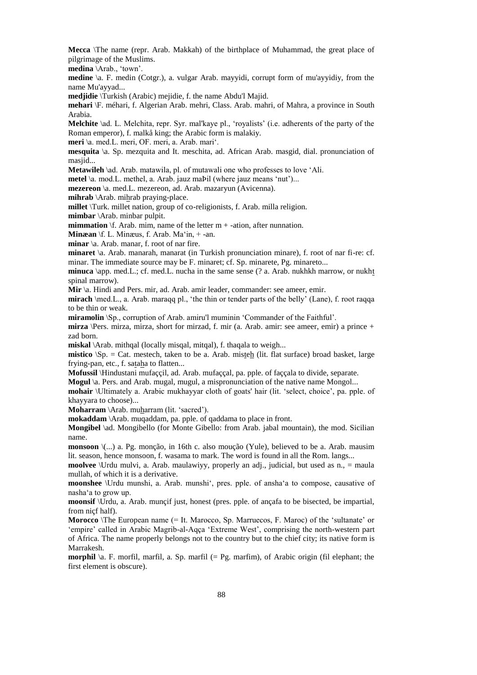**Mecca** \The name (repr. Arab. Makkah) of the birthplace of Muhammad, the great place of pilgrimage of the Muslims.

**medina** \Arab., 'town'.

**medine** \a. F. medin (Cotgr.), a. vulgar Arab. mayyidi, corrupt form of mu'ayyidiy, from the name Mu'ayyad...

**medjidie** \Turkish (Arabic) mejidie, f. the name Abdu'l Majid.

**mehari** \F. méhari, f. Algerian Arab. mehri, Class. Arab. mahri, of Mahra, a province in South Arabia.

**Melchite** \ad. L. Melchita, repr. Syr. mal'kaye pl., 'royalists' (i.e. adherents of the party of the Roman emperor), f. malkå king; the Arabic form is malakiy.

**meri** \a. med.L. meri, OF. meri, a. Arab. mari'.

**mesquita** \a. Sp. mezquita and It. meschita, ad. African Arab. masgid, dial. pronunciation of masjid...

**Metawileh** \ad. Arab. matawila, pl. of mutawali one who professes to love 'Ali.

**metel** \a. mod.L. methel, a. Arab. jauz maÞil (where jauz means 'nut')...

**mezereon** \a. med.L. mezereon, ad. Arab. mazaryun (Avicenna).

**mihrab** \Arab. mihrab praying-place.

**millet** \Turk. millet nation, group of co-religionists, f. Arab. milla religion.

**mimbar** \Arab. minbar pulpit.

**mimmation**  $\forall$ f. Arab. mim, name of the letter  $m + -$ ation, after nunnation.

**Minæan** \f. L. Minæus, f. Arab. Ma'in, + -an.

**minar** \a. Arab. manar, f. root of nar fire.

**minaret** \a. Arab. manarah, manarat (in Turkish pronunciation minare), f. root of nar fi-re: cf. minar. The immediate source may be F. minaret; cf. Sp. minarete, Pg. minareto...

**minuca** \app. med.L.; cf. med.L. nucha in the same sense (? a. Arab. nukhkh marrow, or nukht spinal marrow).

**Mir** \a. Hindi and Pers. mir, ad. Arab. amir leader, commander: see ameer, emir.

**mirach** \med.L., a. Arab. maraqq pl., 'the thin or tender parts of the belly' (Lane), f. root raqqa to be thin or weak.

**miramolin** \Sp., corruption of Arab. amiru'l muminin 'Commander of the Faithful'.

**mirza** \Pers. mirza, mirza, short for mirzad, f. mir (a. Arab. amir: see ameer, emir) a prince + zad born.

**miskal** \Arab. mithqal (locally misqal, mitqal), f. thaqala to weigh...

**mistico**  $\$ Sp. = Cat. mestech, taken to be a. Arab. misteh (lit. flat surface) broad basket, large frying-pan, etc., f. sataha to flatten...

**Mofussil** \Hindustani mufaççil, ad. Arab. mufaççal, pa. pple. of faççala to divide, separate.

**Mogul** \a. Pers. and Arab. mugal, mugul, a mispronunciation of the native name Mongol...

**mohair** \Ultimately a. Arabic mukhayyar cloth of goats' hair (lit. 'select, choice', pa. pple. of khayyara to choose)...

**Moharram** \Arab. muharram (lit. 'sacred').

**mokaddam** \Arab. muqaddam, pa. pple. of qaddama to place in front.

**Mongibel** \ad. Mongibello (for Monte Gibello: from Arab. jabal mountain), the mod. Sicilian name.

**monsoon** \(...) a. Pg. monção, in 16th c. also moução (Yule), believed to be a. Arab. mausim lit. season, hence monsoon, f. wasama to mark. The word is found in all the Rom. langs...

**moolvee** \Urdu mulvi, a. Arab. maulawiyy, properly an adj., judicial, but used as n., = maula mullah, of which it is a derivative.

**moonshee** \Urdu munshi, a. Arab. munshi', pres. pple. of ansha'a to compose, causative of nasha'a to grow up.

**moonsif** \Urdu, a. Arab. munçif just, honest (pres. pple. of ançafa to be bisected, be impartial, from niçf half).

**Morocco** \The European name (= It. Marocco, Sp. Marruecos, F. Maroc) of the 'sultanate' or 'empire' called in Arabic Magrib-al-Aqça 'Extreme West', comprising the north-western part of Africa. The name properly belongs not to the country but to the chief city; its native form is Marrakesh.

**morphil** \a. F. morfil, marfil, a. Sp. marfil (= Pg. marfim), of Arabic origin (fil elephant; the first element is obscure).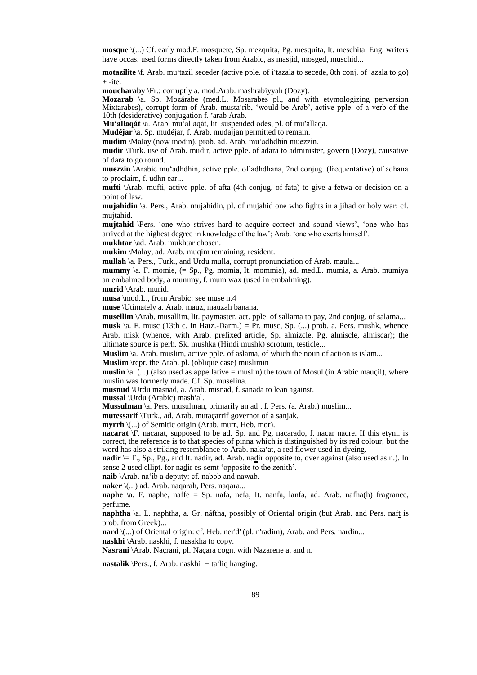**mosque** \(...) Cf. early mod.F. mosquete, Sp. mezquita, Pg. mesquita, It. meschita. Eng. writers have occas. used forms directly taken from Arabic, as masjid, mosged, muschid...

motazilite \f. Arab. mu'tazil seceder (active pple. of i'tazala to secede, 8th conj. of 'azala to go)  $+$  -ite.

**moucharaby** \Fr.; corruptly a. mod.Arab. mashrabiyyah (Dozy).

**Mozarab** \a. Sp. Mozárabe (med.L. Mosarabes pl., and with etymologizing perversion Mixtarabes), corrupt form of Arab. musta'rib, 'would-be Arab', active pple. of a verb of the Mixtanaoes), corrupt form of Arab. masta in<br>10th (desiderative) conjugation f. 'arab Arab.

Tour (desiderative) conjugation i: arab Arab.<br>**Mu'allaqát** \a. Arab. mu'allaqát, lit. suspended odes, pl. of mu'allaqa.

**Mudéjar** \a. Sp. mudéjar, f. Arab. mudajjan permitted to remain.

**mudim** \Malay (now modin), prob. ad. Arab. mu'adhdhin muezzin.

**mudir** \Turk. use of Arab. mudir, active pple. of adara to administer, govern (Dozy), causative of dara to go round.

**muezzin** \Arabic mu'adhdhin, active pple. of adhdhana, 2nd conjug. (frequentative) of adhana to proclaim, f. udhn ear...

**mufti** \Arab. mufti, active pple. of afta (4th conjug. of fata) to give a fetwa or decision on a point of law.

**mujahidin** \a. Pers., Arab. mujahidin, pl. of mujahid one who fights in a jihad or holy war: cf. mujtahid.

**mujtahid** \Pers. 'one who strives hard to acquire correct and sound views', 'one who has arrived at the highest degree in knowledge of the law'; Arab. 'one who exerts himself'.

**mukhtar** \ad. Arab. mukhtar chosen.

**mukim** \Malay, ad. Arab. muqim remaining, resident.

**mullah** \a. Pers., Turk., and Urdu mulla, corrupt pronunciation of Arab. maula...

**mummy** \a. F. momie, (= Sp., Pg. momia, It. mommia), ad. med.L. mumia, a. Arab. mumiya an embalmed body, a mummy, f. mum wax (used in embalming).

**murid** \Arab. murid.

**musa** \mod.L., from Arabic: see muse n.4

**muse** \Utimately a. Arab. mauz, mauzah banana.

**musellim** \Arab. musallim, lit. paymaster, act. pple. of sallama to pay, 2nd conjug. of salama...

**musk** \a. F. musc (13th c. in Hatz.-Darm.) = Pr. musc, Sp. (...) prob. a. Pers. mushk, whence Arab. misk (whence, with Arab. prefixed article, Sp. almizcle, Pg. almiscle, almiscar); the ultimate source is perh. Sk. mushka (Hindi mushk) scrotum, testicle...

**Muslim** \a. Arab. muslim, active pple. of aslama, of which the noun of action is islam...

**Muslim** \repr. the Arab. pl. (oblique case) muslimin

**muslin**  $\{a, (\dots) \}$  (also used as appellative = muslin) the town of Mosul (in Arabic maugil), where muslin was formerly made. Cf. Sp. muselina...

**musnud** \Urdu masnad, a. Arab. misnad, f. sanada to lean against.

**mushuu** \Ordu mashad, a. Arab<br>**mussal** \Urdu (Arabic) mash'al.

**Mussulman** \a. Pers. musulman, primarily an adj. f. Pers. (a. Arab.) muslim...

**mutessarif** \Turk., ad. Arab. mutaçarrif governor of a sanjak.

**myrrh**  $\langle$ ...) of Semitic origin (Arab. murr, Heb. mor).

**nacarat** \F. nacarat, supposed to be ad. Sp. and Pg. nacarado, f. nacar nacre. If this etym. is correct, the reference is to that species of pinna which is distinguished by its red colour; but the correct, the reference is to that speeles of philia which is distinguished by its red et word has also a striking resemblance to Arab. naka'at, a red flower used in dyeing.

**nadir**  $\models$  F., Sp., Pg., and It. nadir, ad. Arab. nadir opposite to, over against (also used as n.). In sense 2 used ellipt. for nadir es-semt 'opposite to the zenith'.

**naib** \Arab. na'ib a deputy: cf. nabob and nawab.

**naker** \(...) ad. Arab. naqarah, Pers. naqara...

**naphe** \a. F. naphe, naffe = Sp. nafa, nefa, It. nanfa, lanfa, ad. Arab. nafha(h) fragrance, perfume.

**naphtha** \a. L. naphtha, a. Gr. náftha, possibly of Oriental origin (but Arab. and Pers. naft is prob. from Greek)...

**nard** \(...) of Oriental origin: cf. Heb. ner'd' (pl. n'radim), Arab. and Pers. nardin...

**naskhi** \Arab. naskhi, f. nasakha to copy.

**Nasrani** \Arab. Naçrani, pl. Naçara cogn. with Nazarene a. and n.

**nastalik** \Pers., f. Arab. naskhi + ta'liq hanging.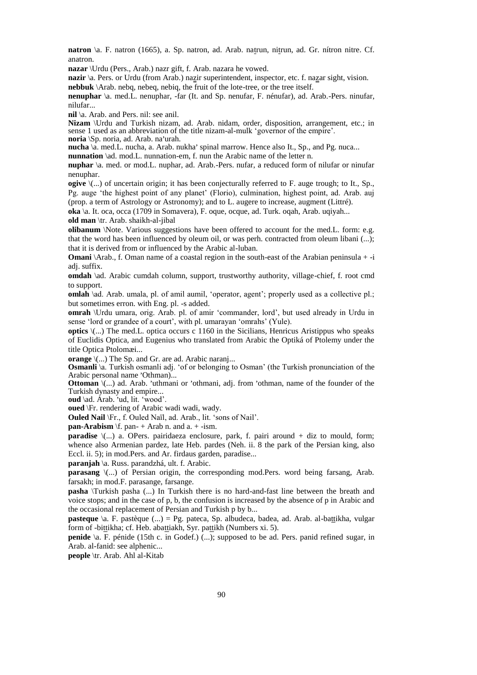**natron** \a. F. natron (1665), a. Sp. natron, ad. Arab. natrun, nitrun, ad. Gr. nítron nitre. Cf. anatron.

**nazar** \Urdu (Pers., Arab.) nazr gift, f. Arab. nazara he vowed.

nazir \a. Pers. or Urdu (from Arab.) nazir superintendent, inspector, etc. f. nazar sight, vision. **nebbuk** \Arab. nebq, nebeq, nebiq, the fruit of the lote-tree, or the tree itself.

**nenuphar** \a. med.L. nenuphar, -far (It. and Sp. nenufar, F. nénufar), ad. Arab.-Pers. ninufar, nilufar...

**nil** \a. Arab. and Pers. nil: see anil.

**Nizam** \Urdu and Turkish nizam, ad. Arab. nidam, order, disposition, arrangement, etc.; in sense 1 used as an abbreviation of the title nizam-al-mulk 'governor of the empire'. **noria** \Sp. noria, ad. Arab. na'urah.

**nucha** \Sp. noria, ad. Arab. na uran.<br>**nucha** \a. med.L. nucha, a. Arab. nukha' spinal marrow. Hence also It., Sp., and Pg. nuca...

**nunnation** \ad. mod.L. nunnation-em, f. nun the Arabic name of the letter n.

**nuphar** \a. med. or mod.L. nuphar, ad. Arab.-Pers. nufar, a reduced form of nilufar or ninufar nenuphar.

**ogive** \(...) of uncertain origin; it has been conjecturally referred to F. auge trough; to It., Sp., Pg. auge 'the highest point of any planet' (Florio), culmination, highest point, ad. Arab. auj (prop. a term of Astrology or Astronomy); and to L. augere to increase, augment (Littré).

**oka** \a. It. oca, occa (1709 in Somavera), F. oque, ocque, ad. Turk. oqah, Arab. uqiyah...

**old man** \tr. Arab. shaikh-al-jibal

**olibanum** *\Note.* Various suggestions have been offered to account for the med.L. form: e.g. that the word has been influenced by oleum oil, or was perh. contracted from oleum libani (...); that it is derived from or influenced by the Arabic al-luban.

**Omani** \Arab., f. Oman name of a coastal region in the south-east of the Arabian peninsula + -i adj. suffix.

**omdah** \ad. Arabic cumdah column, support, trustworthy authority, village-chief, f. root cmd to support.

**omlah** \ad. Arab. umala, pl. of amil aumil, 'operator, agent'; properly used as a collective pl.; but sometimes erron. with Eng. pl. -s added.

**omrah** \Urdu umara, orig. Arab. pl. of amir 'commander, lord', but used already in Urdu in sense 'lord or grandee of a court', with pl. umarayan 'omrahs' (Yule).

**optics** \(...) The med.L. optica occurs c 1160 in the Sicilians, Henricus Aristippus who speaks of Euclidis Optica, and Eugenius who translated from Arabic the Optiká of Ptolemy under the title Optica Ptolomæi...

**orange** \(...) The Sp. and Gr. are ad. Arabic naranj...

**Osmanli** \a. Turkish osmanli adj. 'of or belonging to Osman' (the Turkish pronunciation of the Arabic personal name 'Othman)...

Arabic personal hance Guillian)...<br>**Ottoman** \(...) ad. Arab. 'uthmani or 'othmani, adj. from 'othman, name of the founder of the Turkish dynasty and empire...

**oud** \ad. Arab. 'ud, lit. 'wood'.

**oued** \Fr. rendering of Arabic wadi wadi, wady.

**Ouled Nail** \Fr., f. Ouled Naïl, ad. Arab., lit. 'sons of Nail'.

**pan-Arabism**  $\text{If. pan-} + \text{Arab n. and a.} + \text{-ism.}$ 

**paradise** \(...) a. OPers. pairidaeza enclosure, park, f. pairi around + diz to mould, form; whence also Armenian pardez, late Heb. pardes (Neh. ii. 8 the park of the Persian king, also Eccl. ii. 5); in mod.Pers. and Ar. firdaus garden, paradise...

**paranjah** \a. Russ. parandzhá, ult. f. Arabic.

**parasang** \(...) of Persian origin, the corresponding mod.Pers. word being farsang, Arab. farsakh; in mod.F. parasange, farsange.

**pasha** \Turkish pasha (...) In Turkish there is no hard-and-fast line between the breath and voice stops; and in the case of p, b, the confusion is increased by the absence of p in Arabic and the occasional replacement of Persian and Turkish p by b...

**pasteque** \a. F. pastèque (...) = Pg. pateca, Sp. albudeca, badea, ad. Arab. al-battikha, vulgar form of -bittikha; cf. Heb. abattiakh, Syr. pattikh (Numbers xi. 5).

**penide** \a. F. pénide (15th c. in Godef.) (...); supposed to be ad. Pers. panid refined sugar, in Arab. al-fanid: see alphenic...

**people** \tr. Arab. Ahl al-Kitab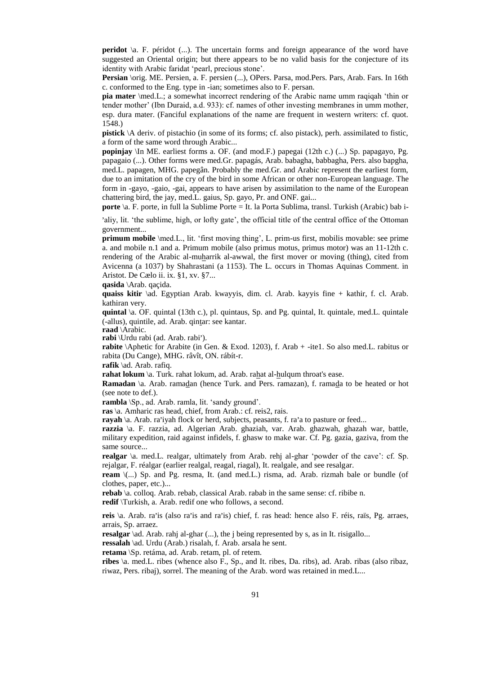peridot \a. F. péridot (...). The uncertain forms and foreign appearance of the word have suggested an Oriental origin; but there appears to be no valid basis for the conjecture of its identity with Arabic faridat 'pearl, precious stone'.

**Persian** \orig. ME. Persien, a. F. persien (...), OPers. Parsa, mod.Pers. Pars, Arab. Fars. In 16th c. conformed to the Eng. type in -ian; sometimes also to F. persan.

**pia mater** \med.L.; a somewhat incorrect rendering of the Arabic name umm raqiqah 'thin or tender mother' (Ibn Duraid, a.d. 933): cf. names of other investing membranes in umm mother, esp. dura mater. (Fanciful explanations of the name are frequent in western writers: cf. quot. 1548.)

**pistick** \A deriv. of pistachio (in some of its forms; cf. also pistack), perh. assimilated to fistic, a form of the same word through Arabic...

**popinjay** \In ME. earliest forms a. OF. (and mod.F.) papegai (12th c.) (...) Sp. papagayo, Pg. papagaio (...). Other forms were med.Gr. papagás, Arab. babagha, babbagha, Pers. also bapgha, med.L. papagen, MHG. papegân. Probably the med.Gr. and Arabic represent the earliest form, due to an imitation of the cry of the bird in some African or other non-European language. The form in -gayo, -gaio, -gai, appears to have arisen by assimilation to the name of the European chattering bird, the jay, med.L. gaius, Sp. gayo, Pr. and ONF. gai...

**porte** \a. F. porte, in full la Sublime Porte = It. la Porta Sublima, transl. Turkish (Arabic) bab i-

'aliy, lit. 'the sublime, high, or lofty gate', the official title of the central office of the Ottoman government...

**primum mobile** \med.L., lit. 'first moving thing', L. prim-us first, mobilis movable: see prime a. and mobile n.1 and a. Primum mobile (also primus motus, primus motor) was an 11-12th c. rendering of the Arabic al-muharrik al-awwal, the first mover or moving (thing), cited from Avicenna (a 1037) by Shahrastani (a 1153). The L. occurs in Thomas Aquinas Comment. in Aristot. De Cælo ii. ix. §1, xv. §7...

**qasida** \Arab. qaçida.

**quaiss kitir** \ad. Egyptian Arab. kwayyis, dim. cl. Arab. kayyis fine + kathir, f. cl. Arab. kathiran very.

**quintal** \a. OF. quintal (13th c.), pl. quintaus, Sp. and Pg. quintal, It. quintale, med.L. quintale (-allus), quintile, ad. Arab. qintar: see kantar.

**raad** \Arabic.

**raau** \Araoic.<br>**rabi** \Urdu rabi (ad. Arab. rabi').

**rabite** \Aphetic for Arabite (in Gen. & Exod. 1203), f. Arab + -ite1. So also med.L. rabitus or rabita (Du Cange), MHG. râvît, ON. rábít-r.

**rafik** \ad. Arab. rafiq.

**rahat lokum** \a. Turk. rahat lokum, ad. Arab. rahat al-hulqum throat's ease.

**Ramadan** \a. Arab. ramadan (hence Turk. and Pers. ramazan), f. ramada to be heated or hot (see note to def.).

**rambla** \Sp., ad. Arab. ramla, lit. 'sandy ground'.

**ras** \a. Amharic ras head, chief, from Arab.: cf. reis2, rais.

**ras** \a. Arimarc ras head, emer, noni Arab.. er. reisz, rais.<br>**rayah** \a. Arab. ra'iyah flock or herd, subjects, peasants, f. ra'a to pasture or feed...

**razzia** \a. F. razzia, ad. Algerian Arab. ghaziah, var. Arab. ghazwah, ghazah war, battle, military expedition, raid against infidels, f. ghasw to make war. Cf. Pg. gazia, gaziva, from the same source...

**realgar** \a. med.L. realgar, ultimately from Arab. rehj al-ghar 'powder of the cave': cf. Sp. rejalgar, F. réalgar (earlier realgal, reagal, riagal), It. realgale, and see resalgar.

**ream** \(...) Sp. and Pg. resma, It. (and med.L.) risma, ad. Arab. rizmah bale or bundle (of clothes, paper, etc.)...

**rebab** \a. colloq. Arab. rebab, classical Arab. rabab in the same sense: cf. ribibe n.

**redif** \Turkish, a. Arab. redif one who follows, a second.

**reis** \a. Arab. ra'is (also ra'is and ra'is) chief, f. ras head: hence also F. réis, raïs, Pg. arraes, arrais, Sp. arraez.

**resalgar** \ad. Arab. rahj al-ghar (...), the j being represented by s, as in It. risigallo...

**ressalah** \ad. Urdu (Arab.) risalah, f. Arab. arsala he sent.

**retama** \Sp. retáma, ad. Arab. retam, pl. of retem.

**ribes** \a. med.L. ribes (whence also F., Sp., and It. ribes, Da. ribs), ad. Arab. ribas (also ribaz, riwaz, Pers. ribaj), sorrel. The meaning of the Arab. word was retained in med.L...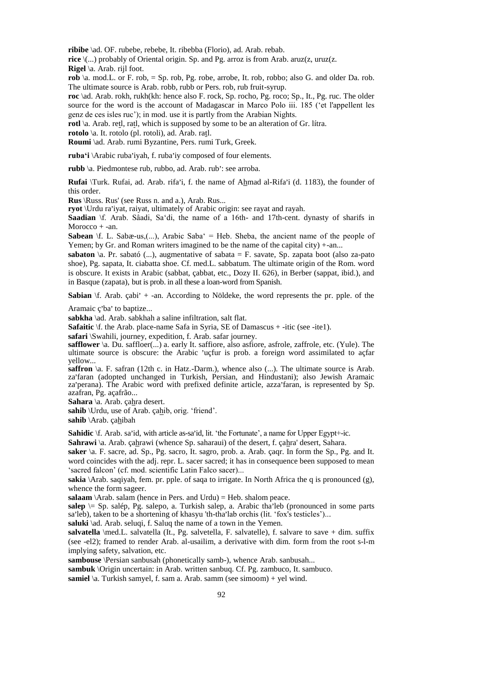**ribibe** \ad. OF. rubebe, rebebe, It. ribebba (Florio), ad. Arab. rebab.

**rice** \(...) probably of Oriental origin. Sp. and Pg. arroz is from Arab. aruz(z, uruz(z. **Rigel** \a. Arab. rijl foot.

**rob** \a. mod.L. or F. rob, = Sp. rob, Pg. robe, arrobe, It. rob, robbo; also G. and older Da. rob. The ultimate source is Arab. robb, rubb or Pers. rob, rub fruit-syrup.

**roc** \ad. Arab. rokh, rukh(kh: hence also F. rock, Sp. rocho, Pg. roco; Sp., It., Pg. ruc. The older source for the word is the account of Madagascar in Marco Polo iii. 185 ('et l'appellent les genz de ces isles ruc'); in mod. use it is partly from the Arabian Nights.

**rotl** \a. Arab. retl, ratl, which is supposed by some to be an alteration of Gr. lítra.

**rotolo** \a. It. rotolo (pl. rotoli), ad. Arab. ratl.

**Roumi** \ad. Arab. rumi Byzantine, Pers. rumi Turk, Greek.

ruba'i \Arabic ruba'iyah, f. ruba'iy composed of four elements.

**rubb** \a. Piedmontese rub, rubbo, ad. Arab. rub': see arroba.

**Rufai** \Turk. Rufai, ad. Arab. rifa'i, f. the name of Ahmad al-Rifa'i (d. 1183), the founder of this order.

**Rus** \Russ. Rus' (see Russ n. and a.), Arab. Rus...

**ryot** \Urdu ra'iyat, raiyat, ultimately of Arabic origin: see rayat and rayah.

**Saadian** \f. Arab. Sâadi, Sa'di, the name of a 16th- and 17th-cent. dynasty of sharifs in Morocco  $+$  -an.

**Sabean**  $\forall$ f. L. Sabæ-us,(...), Arabic Saba' = Heb. Sheba, the ancient name of the people of Yemen; by Gr. and Roman writers imagined to be the name of the capital city) +-an...

sabaton *\a. Pr. sabató (...)*, augmentative of sabata = F. savate, Sp. zapata boot (also za-pato shoe), Pg. sapata, It. ciabatta shoe. Cf. med.L. sabbatum. The ultimate origin of the Rom. word is obscure. It exists in Arabic (sabbat, çabbat, etc., Dozy II. 626), in Berber (sappat, ibid.), and in Basque (zapata), but is prob. in all these a loan-word from Spanish.

Sabian \f. Arab. çabi' + -an. According to Nöldeke, the word represents the pr. pple. of the

Aramaic ç'ba' to baptize...

**sabkha** \ad. Arab. sabkhah a saline infiltration, salt flat.

**Safaitic** \f. the Arab. place-name Safa in Syria, SE of Damascus + -itic (see -ite1).

**safari** \Swahili, journey, expedition, f. Arab. safar journey.

**safflower**  $\a$ . Du. saffloer(...) a. early It. saffiore, also asfiore, asfrole, zaffrole, etc. (Yule). The samower \a. Du. samoer(...) a. early it. samoe, also ashole, ashole, zamoe, etc. (Tule). The ultimate source is obscure: the Arabic 'uçfur is prob. a foreign word assimilated to açfar yellow...

**saffron**  $\alpha$ . F. safran (12th c. in Hatz.-Darm.), whence also  $(\ldots)$ . The ultimate source is Arab. sain on  $\alpha$ . F. sarian (12th c. in Hatz.-Darm.), whence also (...). The unimate source is Arab.<br>za'faran (adopted unchanged in Turkish, Persian, and Hindustani); also Jewish Aramaic za faran (adopted unchanged in Turkish, Tersian, and Timuastam), also Jewish Aramate<br>za'perana). The Arabic word with prefixed definite article, azza'faran, is represented by Sp. azafran, Pg. açafrão...

**Sahara** \a. Arab. çahra desert.

sahib \Urdu, use of Arab. çahib, orig. 'friend'.

**sahib** \Arab. çahibah

Sahidic \f. Arab. sa'id, with article as-sa'id, lit. 'the Fortunate', a name for Upper Egypt+-ic.

**Sahrawi** \a. Arab. çahrawi (whence Sp. saharaui) of the desert, f. çahra' desert, Sahara.

**saker** \a. F. sacre, ad. Sp., Pg. sacro, It. sagro, prob. a. Arab. çaqr. In form the Sp., Pg. and It. word coincides with the adj. repr. L. sacer sacred; it has in consequence been supposed to mean 'sacred falcon' (cf. mod. scientific Latin Falco sacer)...

**sakia** \Arab. saqiyah, fem. pr. pple. of saqa to irrigate. In North Africa the q is pronounced (g), whence the form sageer.

**salaam** \Arab. salam (hence in Pers. and Urdu) = Heb. shalom peace.

salaam <sub>(Fila</sub>o: salam (hence in Fers. and Grad) = Heb. shalom peace.<br>salep  $\ge$  Sp. salép, Pg. salepo, a. Turkish salep, a. Arabic tha'leb (pronounced in some parts salep  $\rightarrow$  Sp. salep, rg. salepo, a. Turkish salep, a. Alabic that led (prohounced sa'leb), taken to be a shortening of khasyu 'th-tha'lab orchis (lit. 'fox's testicles')...

**saluki** \ad. Arab. seluqi, f. Saluq the name of a town in the Yemen.

**salvatella** \med.L. salvatella (It., Pg. salvetella, F. salvatelle), f. salvare to save + dim. suffix (see -el2); framed to render Arab. al-usailim, a derivative with dim. form from the root s-l-m implying safety, salvation, etc.

**sambouse** *\Persian sanbusah (phonetically samb-), whence Arab. sanbusah...* 

**sambuk** \Origin uncertain: in Arab. written sanbuq. Cf. Pg. zambuco, It. sambuco.

**samiel** \a. Turkish samyel, f. sam a. Arab. samm (see simoom) + yel wind.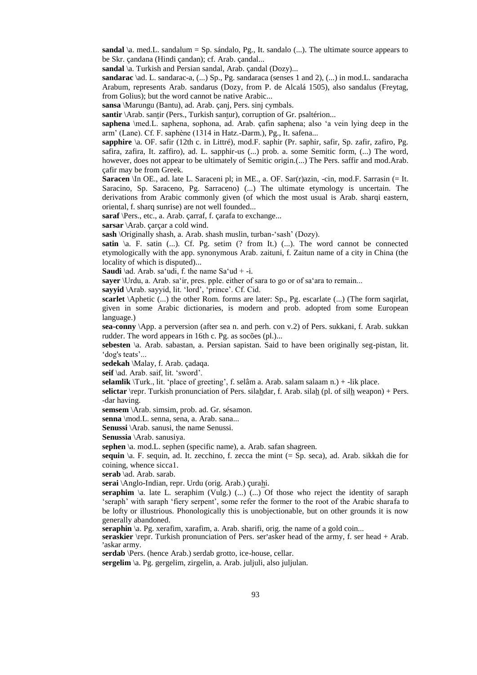**sandal**  $\langle a \rangle$ . med. L. sandalum = Sp. sándalo, Pg., It. sandalo  $\langle ... \rangle$ . The ultimate source appears to be Skr. çandana (Hindi çandan); cf. Arab. çandal...

**sandal** \a. Turkish and Persian sandal, Arab. çandal (Dozy)...

**sandarac** \ad. L. sandarac-a, (...) Sp., Pg. sandaraca (senses 1 and 2), (...) in mod.L. sandaracha Arabum, represents Arab. sandarus (Dozy, from P. de Alcalá 1505), also sandalus (Freytag, from Golius); but the word cannot be native Arabic...

**sansa** \Marungu (Bantu), ad. Arab. çanj, Pers. sinj cymbals.

**santir** \Arab. santir (Pers., Turkish santur), corruption of Gr. psaltérion...

**saphena** \med.L. saphena, sophona, ad. Arab. çafin saphena; also 'a vein lying deep in the arm' (Lane). Cf. F. saphène (1314 in Hatz.-Darm.), Pg., It. safena...

**sapphire** \a. OF. safir (12th c. in Littré), mod.F. saphir (Pr. saphir, safir, Sp. zafir, zafiro, Pg. safira, zafira, It. zaffiro), ad. L. sapphir-us (...) prob. a. some Semitic form, (...) The word, however, does not appear to be ultimately of Semitic origin.(...) The Pers. saffir and mod.Arab. çafir may be from Greek.

**Saracen** \In OE., ad. late L. Saraceni pl; in ME., a. OF. Sar(r)azin, -cin, mod.F. Sarrasin (= It. Saracino, Sp. Saraceno, Pg. Sarraceno) (...) The ultimate etymology is uncertain. The derivations from Arabic commonly given (of which the most usual is Arab. sharqi eastern, oriental, f. sharq sunrise) are not well founded...

**saraf** \Pers., etc., a. Arab. çarraf, f. çarafa to exchange...

**sarsar** \Arab. çarçar a cold wind.

**sash** \Originally shash, a. Arab. shash muslin, turban-'sash' (Dozy).

**satin**  $\langle a, F \rangle$ . satin (...). Cf. Pg. setim (? from It.) (...). The word cannot be connected etymologically with the app. synonymous Arab. zaituni, f. Zaitun name of a city in China (the locality of which is disputed)...

**Saudi** \ad. Arab. sa'udi, f. the name Sa'ud + -i.

**sayer** \Urdu, a. Arab. sa'ir, pres. pple. either of sara to go or of sa'ara to remain...

**sayyid** \Arab. sayyid, lit. 'lord', 'prince'. Cf. Cid.

**scarlet** \Aphetic (...) the other Rom. forms are later: Sp., Pg. escarlate (...) (The form saqirlat, given in some Arabic dictionaries, is modern and prob. adopted from some European language.)

**sea-conny** \App. a perversion (after sea n. and perh. con v.2) of Pers. sukkani, f. Arab. sukkan rudder. The word appears in 16th c. Pg. as socões (pl.)...

**sebesten** \a. Arab. sabastan, a. Persian sapistan. Said to have been originally seg-pistan, lit. 'dog's teats'...

**sedekah** \Malay, f. Arab. çadaqa.

**seif** \ad. Arab. saif, lit. 'sword'.

**selamlik** \Turk., lit. 'place of greeting', f. selâm a. Arab. salam salaam n.) + -lik place.

**selictar** \repr. Turkish pronunciation of Pers. silahdar, f. Arab. silah (pl. of silh weapon) + Pers. -dar having.

**semsem** \Arab. simsim, prob. ad. Gr. sésamon.

**senna** \mod.L. senna, sena, a. Arab. sana...

**Senussi** \Arab. sanusi, the name Senussi.

**Senussia** \Arab. sanusiya.

**sephen** \a. mod.L. sephen (specific name), a. Arab. safan shagreen.

**sequin** \a. F. sequin, ad. It. zecchino, f. zecca the mint (= Sp. seca), ad. Arab. sikkah die for coining, whence sicca1.

**serab** \ad. Arab. sarab.

**serai** \Anglo-Indian, repr. Urdu (orig. Arab.) çurahi.

**seraphim**  $\lambda$ . late L. seraphim (Vulg.)  $\ldots$ )  $\ldots$ ) Of those who reject the identity of saraph 'seraph' with saraph 'fiery serpent', some refer the former to the root of the Arabic sharafa to be lofty or illustrious. Phonologically this is unobjectionable, but on other grounds it is now generally abandoned.

**seraphin**  $\alpha$ . Pg. xerafim, xarafim, a. Arab. sharifi, orig. the name of a gold coin...

seraphin \a. r g. xerarini, xararini, a. Arab. shariri, brig. the name or a gold com...<br>seraskier \repr. Turkish pronunciation of Pers. ser'asker head of the army, f. ser head + Arab. ser**askier** po<br>'askar army.

**serdab** \Pers. (hence Arab.) serdab grotto, ice-house, cellar.

**sergelim** \a. Pg. gergelim, zirgelin, a. Arab. juljuli, also juljulan.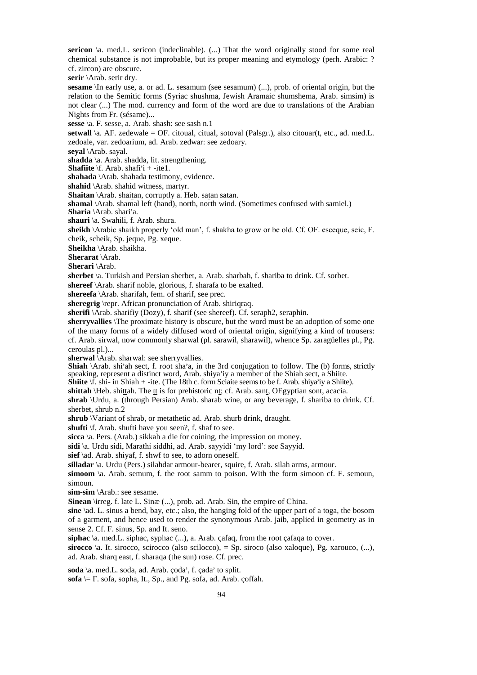**sericon**  $\alpha$ . med. L. sericon (indeclinable). (...) That the word originally stood for some real chemical substance is not improbable, but its proper meaning and etymology (perh. Arabic: ? cf. zircon) are obscure.

**serir** \Arab. serir dry.

**sesame** *\In early use, a. or ad. L. sesamum (see sesamum) (...), prob. of oriental origin, but the* relation to the Semitic forms (Syriac shushma, Jewish Aramaic shumshema, Arab. simsim) is not clear (...) The mod. currency and form of the word are due to translations of the Arabian Nights from Fr. (sésame)...

**sesse** \a. F. sesse, a. Arab. shash: see sash n.1

**setwall** \a. AF. zedewale = OF. citoual, citual, sotoval (Palsgr.), also citouar(t, etc., ad. med.L. zedoale, var. zedoarium, ad. Arab. zedwar: see zedoary.

**seyal** \Arab. sayal.

**shadda** \a. Arab. shadda, lit. strengthening.

**Shafiite** \f. Arab. shadda, in: sub<br>**Shafiite** \f. Arab. shafi'i + -ite1.

**shahada** \Arab. shahada testimony, evidence.

**shahid** \Arab. shahid witness, martyr.

**Shaitan** \Arab. shaitan, corruptly a. Heb. satan satan.

**shamal** \Arab. shamal left (hand), north, north wind. (Sometimes confused with samiel.)

**Sharia** \Arab. shari'a.

**shauri** \a. Swahili, f. Arab. shura.

**sheikh** \Arabic shaikh properly 'old man', f. shakha to grow or be old. Cf. OF. esceque, seic, F. cheik, scheik, Sp. jeque, Pg. xeque.

**Sheikha** \Arab. shaikha.

**Sherarat** \Arab.

**Sherari** \Arab.

**sherbet** \a. Turkish and Persian sherbet, a. Arab. sharbah, f. shariba to drink. Cf. sorbet.

**shereef** \Arab. sharif noble, glorious, f. sharafa to be exalted.

**shereefa** \Arab. sharifah, fem. of sharif, see prec.

**sheregrig** \repr. African pronunciation of Arab. shiriqraq.

**sherifi** \Arab. sharifiy (Dozy), f. sharif (see shereef). Cf. seraph2, seraphin.

**sherryvallies** \The proximate history is obscure, but the word must be an adoption of some one of the many forms of a widely diffused word of oriental origin, signifying a kind of trousers:

cf. Arab. sirwal, now commonly sharwal (pl. sarawil, sharawil), whence Sp. zaragüelles pl., Pg. ceroulas pl.)...

**sherwal** \Arab. sharwal: see sherryvallies.

**Shiah** \Arab. sha wai. see sheriyvantes.<br>**Shiah** \Arab. shi'ah sect, f. root sha'a, in the 3rd conjugation to follow. The (b) forms, strictly  $\sum_{n=1}^{\infty}$  sin an sect, 1. foot sha a, in the 3rd conjugation to follow. The (b) form,

Speaking, represent a distinct word, Arab. shiya iy a inclineer of the sinafi seed, a sinfle.<br>**Shiite** \f. shi- in Shiah + -ite. (The 18th c. form Sciaite seems to be f. Arab. shiya'iy a Shiite).

**shittah** \Heb. shittah. The tt is for prehistoric nt; cf. Arab. sant, OEgyptian sont, acacia.

**shrab** \Urdu, a. (through Persian) Arab. sharab wine, or any beverage, f. shariba to drink. Cf. sherbet, shrub n.2

**shrub** \Variant of shrab, or metathetic ad. Arab. shurb drink, draught.

**shufti** \f. Arab. shufti have you seen?, f. shaf to see.

**sicca** \a. Pers. (Arab.) sikkah a die for coining, the impression on money.

**sidi** \a. Urdu sidi, Marathi siddhi, ad. Arab. sayyidi 'my lord': see Sayyid.

sief \ad. Arab. shiyaf, f. shwf to see, to adorn oneself.

**silladar** \a. Urdu (Pers.) silahdar armour-bearer, squire, f. Arab. silah arms, armour.

simoom  $\lambda$ a. Arab. semum, f. the root samm to poison. With the form simoon cf. F. semoun, simoun.

**sim-sim** \Arab.: see sesame.

**Sinean** \irreg. f. late L. Sinæ (...), prob. ad. Arab. Sin, the empire of China.

**sine** \ad. L. sinus a bend, bay, etc.; also, the hanging fold of the upper part of a toga, the bosom of a garment, and hence used to render the synonymous Arab. jaib, applied in geometry as in sense 2. Cf. F. sinus, Sp. and It. seno.

**siphac** \a. med.L. siphac, syphac (...), a. Arab. çafaq, from the root çafaqa to cover.

**sirocco** \a. It. sirocco, scirocco (also scilocco), = Sp. siroco (also xaloque), Pg. xarouco, (...), ad. Arab. sharq east, f. sharaqa (the sun) rose. Cf. prec.

soda \a. med.L. soda, ad. Arab. çoda', f. çada' to split.

 $\textbf{sofa} \models F$ . sofa, sopha, It., Sp., and Pg. sofa, ad. Arab. çoffah.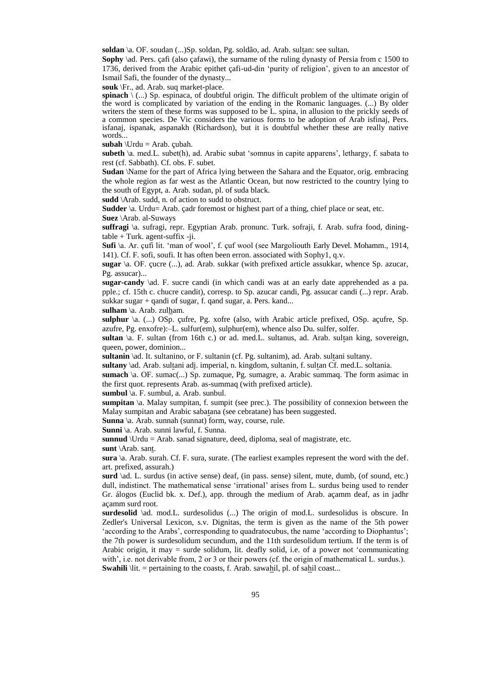**soldan** \a. OF. soudan (...)Sp. soldan, Pg. soldão, ad. Arab. sultan: see sultan.

Sophy \ad. Pers. çafi (also çafawi), the surname of the ruling dynasty of Persia from c 1500 to 1736, derived from the Arabic epithet çafi-ud-din 'purity of religion', given to an ancestor of Ismail Safi, the founder of the dynasty...

**souk** \Fr., ad. Arab. suq market-place.

**spinach** \ (...) Sp. espinaca, of doubtful origin. The difficult problem of the ultimate origin of the word is complicated by variation of the ending in the Romanic languages. (...) By older writers the stem of these forms was supposed to be L. spina, in allusion to the prickly seeds of a common species. De Vic considers the various forms to be adoption of Arab isfinaj, Pers. isfanaj, ispanak, aspanakh (Richardson), but it is doubtful whether these are really native words...

**subah**  $\text{Urdu} = \text{Arab.}$  çubah.

**subeth** \a. med.L. subet(h), ad. Arabic subat 'somnus in capite apparens', lethargy, f. sabata to rest (cf. Sabbath). Cf. obs. F. subet.

**Sudan** \Name for the part of Africa lying between the Sahara and the Equator, orig. embracing the whole region as far west as the Atlantic Ocean, but now restricted to the country lying to the south of Egypt, a. Arab. sudan, pl. of suda black.

**sudd** \Arab. sudd, n. of action to sudd to obstruct.

**Sudder** \a. Urdu= Arab. çadr foremost or highest part of a thing, chief place or seat, etc. **Suez** \Arab. al-Suways

**suffragi** \a. sufragi, repr. Egyptian Arab. pronunc. Turk. sofraji, f. Arab. sufra food, dining $table + Turk. agent-suffix -ji.$ 

**Sufi** \a. Ar. çufi lit. 'man of wool', f. çuf wool (see Margoliouth Early Devel. Mohamm., 1914, 141). Cf. F. sofi, soufi. It has often been erron. associated with Sophy1, q.v.

**sugar** \a. OF. çucre (...), ad. Arab. sukkar (with prefixed article assukkar, whence Sp. azucar, Pg. assucar)...

**sugar-candy** \ad. F. sucre candi (in which candi was at an early date apprehended as a pa. pple.; cf. 15th c. chucre candit), corresp. to Sp. azucar candi, Pg. assucar candi (...) repr. Arab. sukkar sugar + qandi of sugar, f. qand sugar, a. Pers. kand...

sulham \a. Arab. zulham.

**sulphur** \a. (...) OSp. çufre, Pg. xofre (also, with Arabic article prefixed, OSp. açufre, Sp. azufre, Pg. enxofre):–L. sulfur(em), sulphur(em), whence also Du. sulfer, solfer.

**sultan** \a. F. sultan (from 16th c.) or ad. med.L. sultanus, ad. Arab. sultan king, sovereign, queen, power, dominion...

**sultanin** \ad. It. sultanino, or F. sultanin (cf. Pg. sultanim), ad. Arab. sultani sultany.

**sultany** \ad. Arab. sultani adj. imperial, n. kingdom, sultanin, f. sultan Cf. med.L. soltania.

**sumach** \a. OF. sumac(...) Sp. zumaque, Pg. sumagre, a. Arabic summaq. The form asimac in the first quot. represents Arab. as-summaq (with prefixed article).

**sumbul** \a. F. sumbul, a. Arab. sunbul.

**sumpitan**  $\alpha$ . Malay sumpitan, f. sumpit (see prec.). The possibility of connexion between the Malay sumpitan and Arabic sabatana (see cebratane) has been suggested.

**Sunna** \a. Arab. sunnah (sunnat) form, way, course, rule.

**Sunni** \a. Arab. sunni lawful, f. Sunna.

**sunnud** \Urdu = Arab. sanad signature, deed, diploma, seal of magistrate, etc.

**sunt** \Arab. sant.

**sura** \a. Arab. surah. Cf. F. sura, surate. (The earliest examples represent the word with the def. art. prefixed, assurah.)

surd \ad. L. surdus (in active sense) deaf, (in pass. sense) silent, mute, dumb, (of sound, etc.) dull, indistinct. The mathematical sense 'irrational' arises from L. surdus being used to render Gr. álogos (Euclid bk. x. Def.), app. through the medium of Arab. açamm deaf, as in jadhr açamm surd root.

surdesolid \ad. mod.L. surdesolidus (...) The origin of mod.L. surdesolidus is obscure. In Zedler's Universal Lexicon, s.v. Dignitas, the term is given as the name of the 5th power 'according to the Arabs', corresponding to quadratocubus, the name 'according to Diophantus'; the 7th power is surdesolidum secundum, and the 11th surdesolidum tertium. If the term is of Arabic origin, it may = surde solidum, lit. deafly solid, i.e. of a power not 'communicating with', i.e. not derivable from, 2 or 3 or their powers (cf. the origin of mathematical L. surdus.). **Swahili** \lit. = pertaining to the coasts, f. Arab. sawahil, pl. of sahil coast...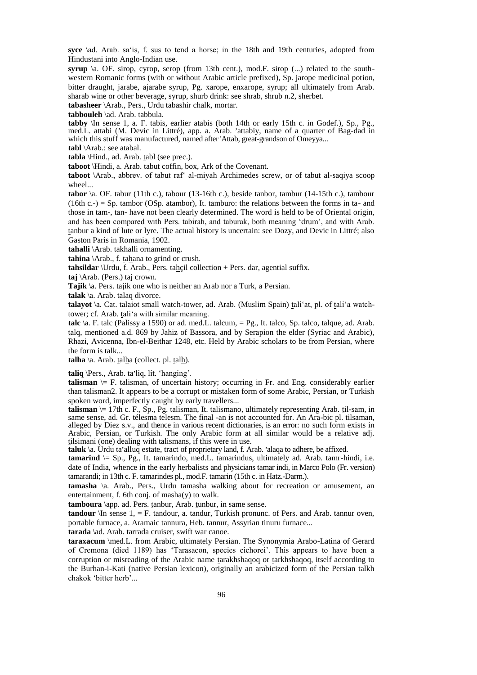**syce** \ad. Arab. sa'is, f. sus to tend a horse; in the 18th and 19th centuries, adopted from Hindustani into Anglo-Indian use.

**syrup** \a. OF. sirop, cyrop, serop (from 13th cent.), mod.F. sirop (...) related to the southwestern Romanic forms (with or without Arabic article prefixed), Sp. jarope medicinal potion, bitter draught, jarabe, ajarabe syrup, Pg. xarope, enxarope, syrup; all ultimately from Arab. sharab wine or other beverage, syrup, shurb drink: see shrab, shrub n.2, sherbet.

**tabasheer** \Arab., Pers., Urdu tabashir chalk, mortar.

**tabbouleh** \ad. Arab. tabbula.

**tabby** \In sense 1, a. F. tabis, earlier atabis (both 14th or early 15th c. in Godef.), Sp., Pg., abby  $\{\text{in} \text{ SinsC } \text{I}, \text{a. F. } \text{a. obs}, \text{caintr} \text{ a.} \text{a.} \}$  and  $\{\text{in} \text{Cun} \text{ I-sun} \text{ C. } \text{in} \text{ C.} \text{in} \text{C.} \}$ , sp., 1 g., med. L. attabi (M. Devic in Littré), app. a. Arab. 'attabiy, name of a quarter of Bag-dad in which this stuff was manufactured, named after 'Attab, great-grandson of Omeyya...

**tabl** \Arab.: see atabal.

**tabla** \Hind., ad. Arab. tabl (see prec.).

**taboot** \Hindi, a. Arab. tabut coffin, box, Ark of the Covenant.

**taboot** \Arab., abbrev. of tabut raf' al-miyah Archimedes screw, or of tabut al-saqiya scoop wheel...

**tabor** \a. OF. tabur (11th c.), tabour (13-16th c.), beside tanbor, tambur (14-15th c.), tambour (16th c.-) = Sp. tambor (OSp. atambor), It. tamburo: the relations between the forms in ta- and those in tam-, tan- have not been clearly determined. The word is held to be of Oriental origin, and has been compared with Pers. tabirah, and taburak, both meaning 'drum', and with Arab. tanbur a kind of lute or lyre. The actual history is uncertain: see Dozy, and Devic in Littré; also Gaston Paris in Romania, 1902.

**tahalli** \Arab. takhalli ornamenting.

**tahina** \Arab., f. tahana to grind or crush.

**tahsildar** \Urdu, f. Arab., Pers. tahçil collection + Pers. dar, agential suffix.

**taj** \Arab. (Pers.) taj crown.

**Tajik** \a. Pers. tajik one who is neither an Arab nor a Turk, a Persian.

**talak** \a. Arab. talaq divorce.

**talayot** \a. Cat. talaiot small watch-tower, ad. Arab. (Muslim Spain) tali'at, pl. of tali'a watchtower; cf. Arab. tali'a with similar meaning.

**talc**  $\langle \mathbf{a}, \mathbf{F} \rangle$  talc (Palissy a 1590) or ad. med.L. talcum, = Pg., It. talco, Sp. talco, talque, ad. Arab. talq, mentioned a.d. 869 by Jahiz of Bassora, and by Serapion the elder (Syriac and Arabic), Rhazi, Avicenna, Ibn-el-Beithar 1248, etc. Held by Arabic scholars to be from Persian, where the form is talk...

**talha** \a. Arab. talha (collect. pl. talh).

taliq \Pers., Arab. ta'liq, lit. 'hanging'.

**talisman**  $\models$  F. talisman, of uncertain history; occurring in Fr. and Eng. considerably earlier than talisman2. It appears to be a corrupt or mistaken form of some Arabic, Persian, or Turkish spoken word, imperfectly caught by early travellers...

**talisman** \= 17th c. F., Sp., Pg. talisman, It. talismano, ultimately representing Arab. til-sam, in same sense, ad. Gr. télesma telesm. The final -an is not accounted for. An Ara-bic pl. tilsaman, alleged by Diez s.v., and thence in various recent dictionaries, is an error: no such form exists in Arabic, Persian, or Turkish. The only Arabic form at all similar would be a relative adj. tilsimani (one) dealing with talismans, if this were in use.

**the main (one) deamly will talismally, if this well in use.**<br>**taluk** \a. Urdu ta'alluq estate, tract of proprietary land, f. Arab. 'alaqa to adhere, be affixed.

**tamarind**  $\subseteq$  Sp., Pg., It. tamarindo, med.L. tamarindus, ultimately ad. Arab. tamr-hindi, i.e. date of India, whence in the early herbalists and physicians tamar indi, in Marco Polo (Fr. version) tamarandi; in 13th c. F. tamarindes pl., mod.F. tamarin (15th c. in Hatz.-Darm.).

**tamasha** \a. Arab., Pers., Urdu tamasha walking about for recreation or amusement, an entertainment, f. 6th conj. of masha(y) to walk.

**tamboura** \app. ad. Pers. tanbur, Arab. tunbur, in same sense.

**tandour** \In sense 1, = F. tandour, a. tandur, Turkish pronunc. of Pers. and Arab. tannur oven, portable furnace, a. Aramaic tannura, Heb. tannur, Assyrian tinuru furnace...

**tarada** \ad. Arab. tarrada cruiser, swift war canoe.

**taraxacum** \med.L. from Arabic, ultimately Persian. The Synonymia Arabo-Latina of Gerard of Cremona (died 1189) has 'Tarasacon, species cichorei'. This appears to have been a corruption or misreading of the Arabic name tarakhshaqoq or tarkhshaqoq, itself according to the Burhan-i-Kati (native Persian lexicon), originally an arabicized form of the Persian talkh chakok 'bitter herb'...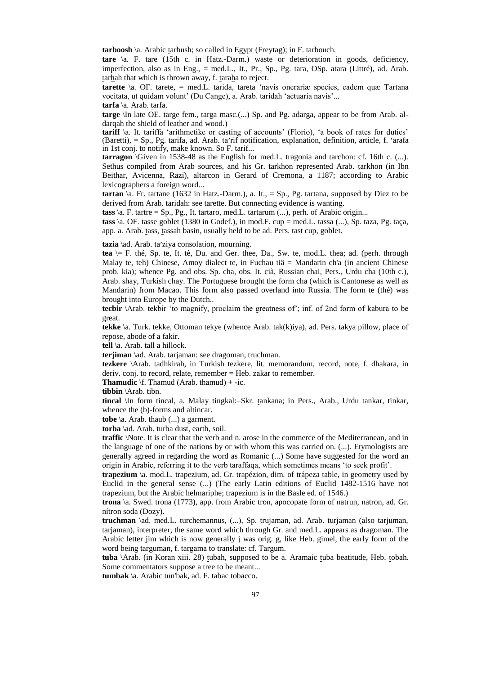**tarboosh** \a. Arabic tarbush; so called in Egypt (Freytag); in F. tarbouch.

**tare** \a. F. tare (15th c. in Hatz.-Darm.) waste or deterioration in goods, deficiency, imperfection, also as in Eng., = med.L., It., Pr., Sp., Pg. tara, OSp. atara (Littré), ad. Arab. tarhah that which is thrown away, f. taraha to reject.

**tarette** \a. OF. tarete, = med.L. tarida, tareta 'navis onerariæ species, eadem quæ Tartana vocitata, ut quidam volunt' (Du Cange), a. Arab. taridah 'actuaria navis'...

**tarfa** \a. Arab. tarfa.

**targe** \In late OE. targe fem., targa masc.(...) Sp. and Pg. adarga, appear to be from Arab. aldarqah the shield of leather and wood.)

**tariff** \a. It. tariffa 'arithmetike or casting of accounts' (Florio), 'a book of rates for duties'  $(Baretti)$ ,  $=$  Sp., Pg. tarifa, ad. Arab. ta'rif notification, explanation, definition, article, f. 'arafa' in 1st conj. to notify, make known. So F. tarif...

**tarragon** \Given in 1538-48 as the English for med.L. tragonia and tarchon: cf. 16th c. (...). Sethus compiled from Arab sources, and his Gr. tarkhon represented Arab. tarkhon (in Ibn Beithar, Avicenna, Razi), altarcon in Gerard of Cremona, a 1187; according to Arabic lexicographers a foreign word...

**tartan**  $\langle a, Fr.$  tartane (1632 in Hatz.-Darm.), a. It., = Sp., Pg. tartana, supposed by Diez to be derived from Arab. taridah: see tarette. But connecting evidence is wanting.

**tass**  $\langle a, F \rangle$ . tartre = Sp., Pg., It. tartaro, med. L. tartarum  $(...)$ , perh. of Arabic origin...

**tass** \a. OF. tasse goblet (1380 in Godef.), in mod.F. cup = med.L. tassa (...), Sp. taza, Pg. taça, app. a. Arab. tass, tassah basin, usually held to be ad. Pers. tast cup, goblet.

tazia \ad. Arab. ta'ziya consolation, mourning.

**tea** \= F. thé, Sp. te, It. tè, Du. and Ger. thee, Da., Sw. te, mod.L. thea; ad. (perh. through Malay te, teh) Chinese, Amoy dialect te, in Fuchau tiä = Mandarin ch'a (in ancient Chinese prob. kia); whence Pg. and obs. Sp. cha, obs. It. cià, Russian chai, Pers., Urdu cha (10th c.), Arab. shay, Turkish chay. The Portuguese brought the form cha (which is Cantonese as well as Mandarin) from Macao. This form also passed overland into Russia. The form te (thé) was brought into Europe by the Dutch..

**tecbir** \Arab. tekbir 'to magnify, proclaim the greatness of'; inf. of 2nd form of kabura to be great.

**tekke** \a. Turk. tekke, Ottoman tekye (whence Arab. tak(k)iya), ad. Pers. takya pillow, place of repose, abode of a fakir.

**tell** \a. Arab. tall a hillock.

**terjiman** \ad. Arab. tarjaman: see dragoman, truchman.

**tezkere** \Arab. tadhkirah, in Turkish tezkere, lit. memorandum, record, note, f. dhakara, in deriv. conj. to record, relate, remember = Heb. zakar to remember.

**Thamudic**  $\text{If }$ . Thamud (Arab. thamud) + -ic.

**tibbin** \Arab. tibn.

**tincal** \In form tincal, a. Malay tingkal:–Skr. tankana; in Pers., Arab., Urdu tankar, tinkar, whence the (b)-forms and altincar.

**tobe** \a. Arab. thaub (...) a garment.

**torba** \ad. Arab. turba dust, earth, soil.

**traffic** \Note. It is clear that the verb and n. arose in the commerce of the Mediterranean, and in the language of one of the nations by or with whom this was carried on. (...). Etymologists are generally agreed in regarding the word as Romanic (...) Some have suggested for the word an origin in Arabic, referring it to the verb taraffaqa, which sometimes means 'to seek profit'.

**trapezium** \a. mod.L. trapezium, ad. Gr. trapézion, dim. of trápeza table, in geometry used by Euclid in the general sense (...) (The early Latin editions of Euclid 1482-1516 have not trapezium, but the Arabic helmariphe; trapezium is in the Basle ed. of 1546.)

**trona** \a. Swed. trona (1773), app. from Arabic tron, apocopate form of natrun, natron, ad. Gr. nítron soda (Dozy).

**truchman** \ad. med.L. turchemannus, (...), Sp. trujaman, ad. Arab. turjaman (also tarjuman, tarjaman), interpreter, the same word which through Gr. and med.L. appears as dragoman. The Arabic letter jim which is now generally j was orig. g, like Heb. gimel, the early form of the word being targuman, f. targama to translate: cf. Targum.

**tuba** \Arab. (in Koran xiii. 28) tubah, supposed to be a. Aramaic tuba beatitude, Heb. tobah. Some commentators suppose a tree to be meant...

**tumbak** \a. Arabic tun'bak, ad. F. tabac tobacco.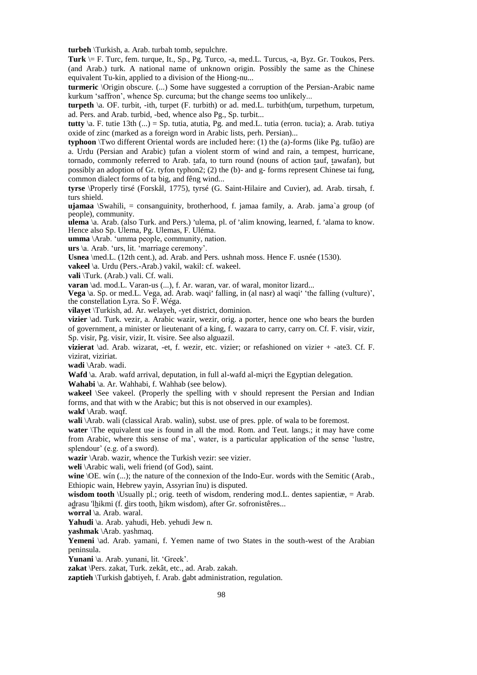**turbeh** \Turkish, a. Arab. turbah tomb, sepulchre.

**Turk** \= F. Turc, fem. turque, It., Sp., Pg. Turco, -a, med.L. Turcus, -a, Byz. Gr. Toukos, Pers. (and Arab.) turk. A national name of unknown origin. Possibly the same as the Chinese equivalent Tu-kin, applied to a division of the Hiong-nu...

**turmeric** \Origin obscure. (...) Some have suggested a corruption of the Persian-Arabic name kurkum 'saffron', whence Sp. curcuma; but the change seems too unlikely...

**turpeth** \a. OF. turbit, -ith, turpet (F. turbith) or ad. med.L. turbith(um, turpethum, turpetum, ad. Pers. and Arab. turbid, -bed, whence also Pg., Sp. turbit...

**tutty**  $\langle a, F \rangle$ , tutie 13th  $\langle ... \rangle$  = Sp. tutia, atutia, Pg. and med. L. tutia (erron. tucia); a. Arab. tutiva oxide of zinc (marked as a foreign word in Arabic lists, perh. Persian)...

**typhoon** \Two different Oriental words are included here: (1) the (a)-forms (like Pg. tufão) are a. Urdu (Persian and Arabic) tufan a violent storm of wind and rain, a tempest, hurricane, tornado, commonly referred to Arab. tafa, to turn round (nouns of action tauf, tawafan), but possibly an adoption of Gr. tyfon typhon2; (2) the (b)- and g- forms represent Chinese tai fung, common dialect forms of ta big, and fêng wind...

**tyrse** \Properly tirsé (Forskål, 1775), tyrsé (G. Saint-Hilaire and Cuvier), ad. Arab. tirsah, f. turs shield.

**ujamaa** \Swahili, = consanguinity, brotherhood, f. jamaa family, a. Arab. jama`a group (of people), community.

pcopic), communty.<br>**ulema** \a. Arab. (also Turk. and Pers.) 'ulema, pl. of 'alim knowing, learned, f. 'alama to know. Hence also Sp. Ulema, Pg. Ulemas, F. Uléma.

**umma** \Arab. 'umma people, community, nation.

**urs** \a. Arab. 'urs, lit. 'marriage ceremony'.

**Usnea** \med.L. (12th cent.), ad. Arab. and Pers. ushnah moss. Hence F. usnée (1530).

**vakeel** \a. Urdu (Pers.-Arab.) vakil, wakil: cf. wakeel.

**vali** \Turk. (Arab.) vali. Cf. wali.

**varan** \ad. mod.L. Varan-us (...), f. Ar. waran, var. of waral, monitor lizard...

**Vega** \a. Sp. or med.L. Vega, ad. Arab. waqii' falling, in (al nasr) al waqi' 'the falling (vulture)', the constellation Lyra. So F. Wéga.

**vilayet** \Turkish, ad. Ar. welayeh, -yet district, dominion.

**vizier** \ad. Turk. vezir, a. Arabic wazir, wezir, orig. a porter, hence one who bears the burden of government, a minister or lieutenant of a king, f. wazara to carry, carry on. Cf. F. visir, vizir, Sp. visir, Pg. visir, vizir, It. visire. See also alguazil.

**vizierat** \ad. Arab. wizarat, -et, f. wezir, etc. vizier; or refashioned on vizier + -ate3. Cf. F. vizirat, viziriat.

**wadi** \Arab. wadi.

Wafd \a. Arab. wafd arrival, deputation, in full al-wafd al-micri the Egyptian delegation.

**Wahabi** \a. Ar. Wahhabi, f. Wahhab (see below).

**wakeel** \See vakeel. (Properly the spelling with v should represent the Persian and Indian forms, and that with w the Arabic; but this is not observed in our examples).

**wakf** \Arab. waqf.

**wali** \Arab. wali (classical Arab. walin), subst. use of pres. pple. of wala to be foremost.

**water** \The equivalent use is found in all the mod. Rom. and Teut. langs.; it may have come from Arabic, where this sense of ma', water, is a particular application of the sense 'lustre, splendour' (e.g. of a sword).

**wazir** \Arab. wazir, whence the Turkish vezir: see vizier.

**weli** \Arabic wali, weli friend (of God), saint.

wine  $\Omega$ . win (...); the nature of the connexion of the Indo-Eur. words with the Semitic (Arab., Ethiopic wain, Hebrew yayin, Assyrian înu) is disputed.

**wisdom tooth** \Usually pl.; orig. teeth of wisdom, rendering mod.L. dentes sapientiæ, = Arab. adrasu 'lhikmi (f. dirs tooth, hikm wisdom), after Gr. sofronistêres...

**worral** \a. Arab. waral.

**Yahudi** \a. Arab. yahudi, Heb. yehudi Jew n.

**yashmak** \Arab. yashmaq.

Yemeni \ad. Arab. yamani, f. Yemen name of two States in the south-west of the Arabian peninsula.

**Yunani** \a. Arab. yunani, lit. 'Greek'.

**zakat** \Pers. zakat, Turk. zekât, etc., ad. Arab. zakah.

**zaptieh** *\Turkish dabtiyeh, f. Arab. dabt administration, regulation.*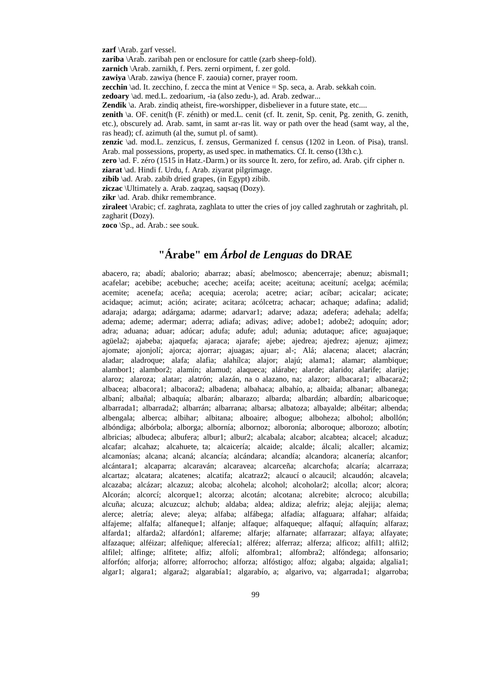**zarf** \Arab. zarf vessel.

**zariba** \Arab. zaribah pen or enclosure for cattle (zarb sheep-fold).

**zarnich** \Arab. zarnikh, f. Pers. zerni orpiment, f. zer gold.

**zawiya** \Arab. zawiya (hence F. zaouia) corner, prayer room.

**zecchin**  $\hat{A}$ . It. zecchino, f. zecca the mint at Venice = Sp. seca, a. Arab. sekkah coin.

**zedoary** \ad. med.L. zedoarium, -ia (also zedu-), ad. Arab. zedwar...

**Zendik** \a. Arab. zindiq atheist, fire-worshipper, disbeliever in a future state, etc....

**zenith** \a. OF. cenit(h (F. zénith) or med.L. cenit (cf. It. zenit, Sp. cenit, Pg. zenith, G. zenith, etc.), obscurely ad. Arab. samt, in samt ar-ras lit. way or path over the head (samt way, al the,

ras head); cf. azimuth (al the, sumut pl. of samt).

**zenzic** \ad. mod.L. zenzicus, f. zensus, Germanized f. census (1202 in Leon. of Pisa), transl. Arab. mal possessions, property, as used spec. in mathematics. Cf. It. censo (13th c.).

**zero** \ad. F. zéro (1515 in Hatz.-Darm.) or its source It. zero, for zefiro, ad. Arab. çifr cipher n. **ziarat** \ad. Hindi f. Urdu, f. Arab. ziyarat pilgrimage.

**zibib** \ad. Arab. zabib dried grapes, (in Egypt) zibib.

**ziczac** \Ultimately a. Arab. zaqzaq, saqsaq (Dozy).

zikr \ad. Arab. dhikr remembrance.

**ziraleet** \Arabic; cf. zaghrata, zaghlata to utter the cries of joy called zaghrutah or zaghritah, pl. zagharit (Dozy).

**zoco** \Sp., ad. Arab.: see souk.

## **"Árabe" em** *Árbol de Lenguas* **do DRAE**

abacero, ra; abadí; abalorio; abarraz; abasí; abelmosco; abencerraje; abenuz; abismal1; acafelar; acebibe; acebuche; aceche; aceifa; aceite; aceituna; aceituní; acelga; acémila; acemite; acenefa; aceña; acequia; acerola; acetre; aciar; acíbar; acicalar; acicate; acidaque; acimut; ación; acirate; acitara; acólcetra; achacar; achaque; adafina; adalid; adaraja; adarga; adárgama; adarme; adarvar1; adarve; adaza; adefera; adehala; adelfa; adema; ademe; adermar; aderra; adiafa; adivas; adive; adobe1; adobe2; adoquín; ador; adra; aduana; aduar; adúcar; adufa; adufe; adul; adunia; adutaque; afice; aguajaque; agüela2; ajabeba; ajaquefa; ajaraca; ajarafe; ajebe; ajedrea; ajedrez; ajenuz; ajimez; ajomate; ajonjolí; ajorca; ajorrar; ajuagas; ajuar; al-; Alá; alacena; alacet; alacrán; aladar; aladroque; alafa; alafia; alahílca; alajor; alajú; alama1; alamar; alambique; alambor1; alambor2; alamín; alamud; alaqueca; alárabe; alarde; alarido; alarife; alarije; alaroz; alaroza; alatar; alatrón; alazán, na o alazano, na; alazor; albacara1; albacara2; albacea; albacora1; albacora2; albadena; albahaca; albahío, a; albaida; albanar; albanega; albaní; albañal; albaquía; albarán; albarazo; albarda; albardán; albardín; albaricoque; albarrada1; albarrada2; albarrán; albarrana; albarsa; albatoza; albayalde; albéitar; albenda; albengala; alberca; albihar; albitana; alboaire; albogue; alboheza; albohol; albollón; albóndiga; albórbola; alborga; albornía; albornoz; alboronía; alboroque; alborozo; albotín; albricias; albudeca; albufera; albur1; albur2; alcabala; alcabor; alcabtea; alcacel; alcaduz; alcafar; alcahaz; alcahuete, ta; alcaicería; alcaide; alcalde; álcali; alcaller; alcamiz; alcamonías; alcana; alcaná; alcancía; alcándara; alcandía; alcandora; alcanería; alcanfor; alcántara1; alcaparra; alcaraván; alcaravea; alcarceña; alcarchofa; alcaría; alcarraza; alcartaz; alcatara; alcatenes; alcatifa; alcatraz2; alcaucí o alcaucil; alcaudón; alcavela; alcazaba; alcázar; alcazuz; alcoba; alcohela; alcohol; alcoholar2; alcolla; alcor; alcora; Alcorán; alcorcí; alcorque1; alcorza; alcotán; alcotana; alcrebite; alcroco; alcubilla; alcuña; alcuza; alcuzcuz; alchub; aldaba; aldea; aldiza; alefriz; aleja; alejija; alema; alerce; aletría; aleve; aleya; alfaba; alfábega; alfadía; alfaguara; alfahar; alfaida; alfajeme; alfalfa; alfaneque1; alfanje; alfaque; alfaqueque; alfaquí; alfaquín; alfaraz; alfarda1; alfarda2; alfardón1; alfareme; alfarje; alfarnate; alfarrazar; alfaya; alfayate; alfazaque; alféizar; alfeñique; alferecía1; alférez; alferraz; alferza; alficoz; alfil1; alfil2; alfilel; alfinge; alfitete; alfiz; alfolí; alfombra1; alfombra2; alfóndega; alfonsario; alforfón; alforja; alforre; alforrocho; alforza; alfóstigo; alfoz; algaba; algaida; algalia1; algar1; algara1; algara2; algarabía1; algarabío, a; algarivo, va; algarrada1; algarroba;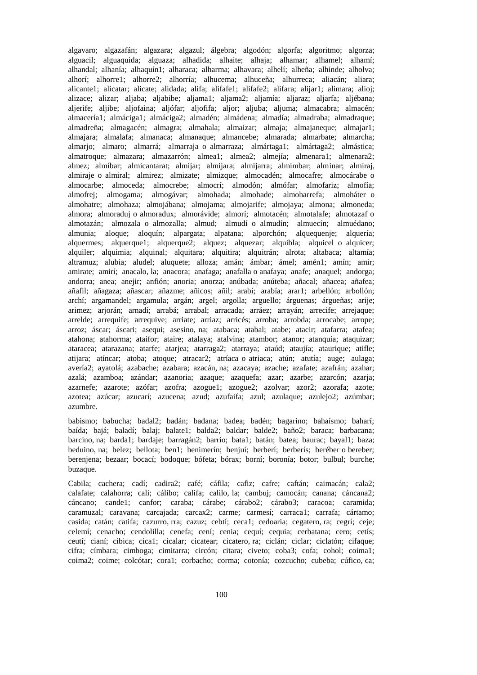algavaro; algazafán; algazara; algazul; álgebra; algodón; algorfa; algoritmo; algorza; alguacil; alguaquida; alguaza; alhadida; alhaite; alhaja; alhamar; alhamel; alhamí; alhandal; alhanía; alhaquín1; alharaca; alharma; alhavara; alhelí; alheña; alhinde; alholva; alhorí; alhorre1; alhorre2; alhorría; alhucema; alhuceña; alhurreca; aliacán; aliara; alicante1; alicatar; alicate; alidada; alifa; alifafe1; alifafe2; alifara; alijar1; alimara; alioj; alizace; alizar; aljaba; aljabibe; aljama1; aljama2; aljamía; aljaraz; aljarfa; aljébana; aljerife; aljibe; aljofaina; aljófar; aljofifa; aljor; aljuba; aljuma; almacabra; almacén; almacería1; almáciga1; almáciga2; almadén; almádena; almadía; almadraba; almadraque; almadreña; almagacén; almagra; almahala; almaizar; almaja; almajaneque; almajar1; almajara; almalafa; almanaca; almanaque; almancebe; almarada; almarbate; almarcha; almarjo; almaro; almarrá; almarraja o almarraza; almártaga1; almártaga2; almástica; almatroque; almazara; almazarrón; almea1; almea2; almejía; almenara1; almenara2; almez; almíbar; almicantarat; almijar; almijara; almijarra; almimbar; alminar; almiraj, almiraje o almiral; almirez; almizate; almizque; almocadén; almocafre; almocárabe o almocarbe; almoceda; almocrebe; almocrí; almodón; almófar; almofariz; almofía; almofrej; almogama; almogávar; almohada; almohade; almoharrefa; almoháter o almohatre; almohaza; almojábana; almojama; almojarife; almojaya; almona; almoneda; almora; almoraduj o almoradux; almorávide; almorí; almotacén; almotalafe; almotazaf o almotazán; almozala o almozalla; almud; almudí o almudín; almuecín; almuédano; almunia; aloque; aloquín; alpargata; alpatana; alporchón; alquequenje; alquería; alquermes; alquerque1; alquerque2; alquez; alquezar; alquibla; alquicel o alquicer; alquiler; alquimia; alquinal; alquitara; alquitira; alquitrán; alrota; altabaca; altamía; altramuz; alubia; aludel; aluquete; alloza; amán; ámbar; ámel; amén1; amín; amir; amirate; amirí; anacalo, la; anacora; anafaga; anafalla o anafaya; anafe; anaquel; andorga; andorra; anea; anejir; anfión; anoria; anorza; anúbada; anúteba; añacal; añacea; añafea; añafil; añagaza; añascar; añazme; añicos; añil; arabí; arabía; arar1; arbellón; arbollón; archí; argamandel; argamula; argán; argel; argolla; arguello; árguenas; árgueñas; arije; arimez; arjorán; arnadí; arrabá; arrabal; arracada; arráez; arrayán; arrecife; arrejaque; arrelde; arrequife; arrequive; arriate; arriaz; arricés; arroba; arrobda; arrocabe; arrope; arroz; áscar; áscari; asequi; asesino, na; atabaca; atabal; atabe; atacir; atafarra; atafea; atahona; atahorma; ataifor; ataire; atalaya; atalvina; atambor; atanor; atanquía; ataquizar; ataracea; atarazana; atarfe; atarjea; atarraga2; atarraya; ataúd; ataujía; ataurique; atifle; atijara; atíncar; atoba; atoque; atracar2; atríaca o atriaca; atún; atutía; auge; aulaga; avería2; ayatolá; azabache; azabara; azacán, na; azacaya; azache; azafate; azafrán; azahar; azalá; azamboa; azándar; azanoria; azaque; azaquefa; azar; azarbe; azarcón; azarja; azarnefe; azarote; azófar; azofra; azogue1; azogue2; azolvar; azor2; azorafa; azote; azotea; azúcar; azucarí; azucena; azud; azufaifa; azul; azulaque; azulejo2; azúmbar; azumbre.

babismo; babucha; badal2; badán; badana; badea; badén; bagarino; bahaísmo; baharí; baída; bajá; baladí; balaj; balate1; balda2; baldar; balde2; baño2; baraca; barbacana; barcino, na; barda1; bardaje; barragán2; barrio; bata1; batán; batea; baurac; bayal1; baza; beduino, na; belez; bellota; ben1; benimerín; benjuí; berberí; berberís; beréber o bereber; berenjena; bezaar; bocací; bodoque; bófeta; bórax; borní; boronía; botor; bulbul; burche; buzaque.

Cabila; cachera; cadí; cadira2; café; cáfila; cafiz; cafre; caftán; caimacán; cala2; calafate; calahorra; cali; cálibo; califa; calilo, la; cambuj; camocán; canana; cáncana2; cáncano; cande1; canfor; caraba; cárabe; cárabo2; cárabo3; caracoa; caramida; caramuzal; caravana; carcajada; carcax2; carme; carmesí; carraca1; carrafa; cártamo; casida; catán; catifa; cazurro, rra; cazuz; cebtí; ceca1; cedoaria; cegatero, ra; cegrí; ceje; celemí; cenacho; cendolilla; cenefa; cení; cenia; cequí; cequia; cerbatana; cero; cetís; ceutí; cianí; cibica; cica1; cicalar; cicatear; cicatero, ra; ciclán; ciclar; ciclatón; cifaque; cifra; címbara; cimboga; cimitarra; circón; citara; civeto; coba3; cofa; cohol; coima1; coima2; coime; colcótar; cora1; corbacho; corma; cotonía; cozcucho; cubeba; cúfico, ca;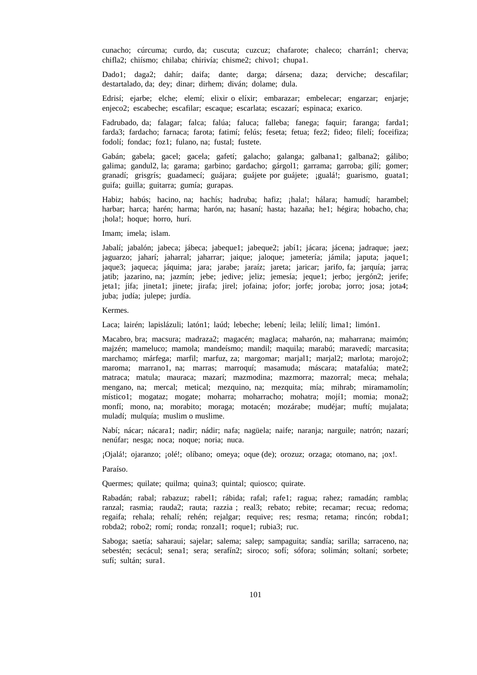cunacho; cúrcuma; curdo, da; cuscuta; cuzcuz; chafarote; chaleco; charrán1; cherva; chifla2; chiísmo; chilaba; chirivía; chisme2; chivo1; chupa1.

Dado1; daga2; dahír; daifa; dante; darga; dársena; daza; derviche; descafilar; destartalado, da; dey; dinar; dirhem; diván; dolame; dula.

Edrisí; ejarbe; elche; elemí; elixir o elíxir; embarazar; embelecar; engarzar; enjarje; enjeco2; escabeche; escafilar; escaque; escarlata; escazarí; espinaca; exarico.

Fadrubado, da; falagar; falca; falúa; faluca; falleba; fanega; faquir; faranga; farda1; farda3; fardacho; farnaca; farota; fatimí; felús; feseta; fetua; fez2; fideo; filelí; foceifiza; fodolí; fondac; foz1; fulano, na; fustal; fustete.

Gabán; gabela; gacel; gacela; gafetí; galacho; galanga; galbana1; galbana2; gálibo; galima; gandul2, la; garama; garbino; gardacho; gárgol1; garrama; garroba; gilí; gomer; granadí; grisgrís; guadamecí; guájara; guájete por guájete; ¡gualá!; guarismo, guata1; guifa; guilla; guitarra; gumía; gurapas.

Habiz; habús; hacino, na; hachís; hadruba; hafiz; ¡hala!; hálara; hamudí; harambel; harbar; harca; harén; harma; harón, na; hasaní; hasta; hazaña; he1; hégira; hobacho, cha; ¡hola!; hoque; horro, hurí.

Imam; imela; islam.

Jabalí; jabalón; jabeca; jábeca; jabeque1; jabeque2; jabí1; jácara; jácena; jadraque; jaez; jaguarzo; jaharí; jaharral; jaharrar; jaique; jaloque; jametería; jámila; japuta; jaque1; jaque3; jaqueca; jáquima; jara; jarabe; jaraíz; jareta; jaricar; jarifo, fa; jarquía; jarra; jatib; jazarino, na; jazmín; jebe; jedive; jeliz; jemesía; jeque1; jerbo; jergón2; jerife; jeta1; jifa; jineta1; jinete; jirafa; jirel; jofaina; jofor; jorfe; joroba; jorro; josa; jota4; juba; judía; julepe; jurdía.

Kermes.

Laca; lairén; lapislázuli; latón1; laúd; lebeche; lebení; leila; lelilí; lima1; limón1.

Macabro, bra; macsura; madraza2; magacén; maglaca; maharón, na; maharrana; maimón; majzén; mameluco; mamola; mandeísmo; mandil; maquila; marabú; maravedí; marcasita; marchamo; márfega; marfil; marfuz, za; margomar; marjal1; marjal2; marlota; marojo2; maroma; marrano1, na; marras; marroquí; masamuda; máscara; matafalúa; mate2; matraca; matula; mauraca; mazarí; mazmodina; mazmorra; mazorral; meca; mehala; mengano, na; mercal; metical; mezquino, na; mezquita; mía; mihrab; miramamolín; místico1; mogataz; mogate; moharra; moharracho; mohatra; mojí1; momia; mona2; monfí; mono, na; morabito; moraga; motacén; mozárabe; mudéjar; muftí; mujalata; muladí; mulquía; muslim o muslime.

Nabí; nácar; nácara1; nadir; nádir; nafa; nagüela; naife; naranja; narguile; natrón; nazarí; nenúfar; nesga; noca; noque; noria; nuca.

¡Ojalá!; ojaranzo; ¡olé!; olíbano; omeya; oque (de); orozuz; orzaga; otomano, na; ¡ox!.

Paraíso.

Quermes; quilate; quilma; quina3; quintal; quiosco; quirate.

Rabadán; rabal; rabazuz; rabel1; rábida; rafal; rafe1; ragua; rahez; ramadán; rambla; ranzal; rasmia; rauda2; rauta; razzia ; real3; rebato; rebite; recamar; recua; redoma; regaifa; rehala; rehalí; rehén; rejalgar; requive; res; resma; retama; rincón; robda1; robda2; robo2; romí; ronda; ronzal1; roque1; rubia3; ruc.

Saboga; saetía; saharaui; sajelar; salema; salep; sampaguita; sandía; sarilla; sarraceno, na; sebestén; secácul; sena1; sera; serafín2; siroco; sofí; sófora; solimán; soltaní; sorbete; sufí; sultán; sura1.